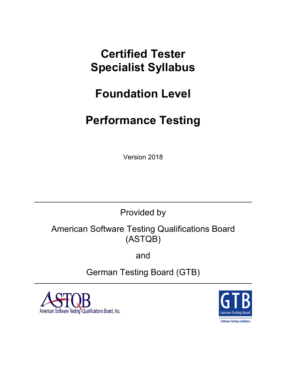# **Certified Tester Specialist Syllabus**

# **Foundation Level**

# **Performance Testing**

Version 2018

Provided by

American Software Testing Qualifications Board (ASTQB)

and

German Testing Board (GTB)





Software. Testing. Excellence.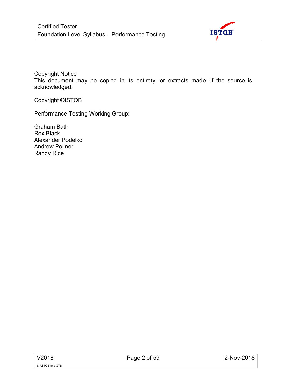

Copyright Notice This document may be copied in its entirety, or extracts made, if the source is acknowledged.

Copyright **©**ISTQB

Performance Testing Working Group:

Graham Bath Rex Black Alexander Podelko Andrew Pollner Randy Rice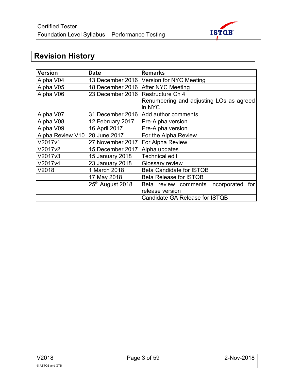

# **Revision History**

| <b>Version</b>   | <b>Date</b>                  | <b>Remarks</b>                                    |  |  |
|------------------|------------------------------|---------------------------------------------------|--|--|
| Alpha V04        |                              | 13 December 2016   Version for NYC Meeting        |  |  |
| Alpha V05        |                              | 18 December 2016   After NYC Meeting              |  |  |
| Alpha V06        | 23 December 2016             | <b>Restructure Ch 4</b>                           |  |  |
|                  |                              | Renumbering and adjusting LOs as agreed<br>in NYC |  |  |
| Alpha V07        |                              | 31 December 2016   Add author comments            |  |  |
| Alpha V08        | 12 February 2017             | Pre-Alpha version                                 |  |  |
| Alpha V09        | 16 April 2017                | Pre-Alpha version                                 |  |  |
| Alpha Review V10 | 28 June 2017                 | For the Alpha Review                              |  |  |
| V2017v1          | 27 November 2017             | For Alpha Review                                  |  |  |
| V2017v2          | 15 December 2017             | Alpha updates                                     |  |  |
| V2017v3          | 15 January 2018              | <b>Technical edit</b>                             |  |  |
| V2017v4          | 23 January 2018              | Glossary review                                   |  |  |
| V2018            | 1 March 2018                 | <b>Beta Candidate for ISTQB</b>                   |  |  |
|                  | 17 May 2018                  | Beta Release for ISTQB                            |  |  |
|                  | 25 <sup>th</sup> August 2018 | Beta review comments incorporated<br>for          |  |  |
|                  |                              | release version                                   |  |  |
|                  |                              | Candidate GA Release for ISTQB                    |  |  |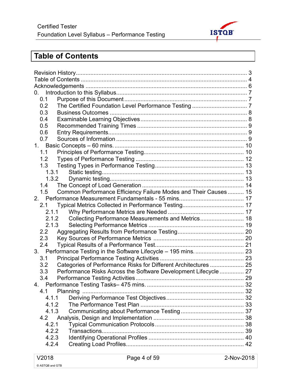

# **Table of Contents**

| 0.                                                                     |  |
|------------------------------------------------------------------------|--|
| 0.1                                                                    |  |
| 0.2                                                                    |  |
| 0.3                                                                    |  |
| 0.4                                                                    |  |
| 0.5                                                                    |  |
| 0.6                                                                    |  |
| 0.7                                                                    |  |
|                                                                        |  |
| 1.1                                                                    |  |
| 1.2                                                                    |  |
|                                                                        |  |
| 1.3.1                                                                  |  |
| 1.3.2                                                                  |  |
| 1.4                                                                    |  |
| 1.5<br>Common Performance Efficiency Failure Modes and Their Causes 15 |  |
|                                                                        |  |
| 2.1                                                                    |  |
|                                                                        |  |
| Collecting Performance Measurements and Metrics 18<br>2.1.2            |  |
| 2.1.3                                                                  |  |
| 2.2                                                                    |  |
| 2.3                                                                    |  |
| 2.4                                                                    |  |
|                                                                        |  |
| 3.1                                                                    |  |
|                                                                        |  |
| Categories of Performance Risks for Different Architectures  25<br>3.2 |  |
| Performance Risks Across the Software Development Lifecycle  27<br>3.3 |  |
| 3.4                                                                    |  |
|                                                                        |  |
| 4.1<br>Planning                                                        |  |
| 4.1.1                                                                  |  |
| 4.1.2                                                                  |  |
| 4.1.3                                                                  |  |
| 4.2                                                                    |  |
| 4.2.1                                                                  |  |
| 4.2.2                                                                  |  |
| 4.2.3                                                                  |  |
| 4.2.4                                                                  |  |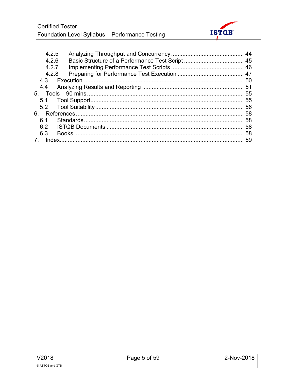

| 4.2.5          |  |
|----------------|--|
| 4.2.6          |  |
| 4.2.7          |  |
| 4.2.8          |  |
| 4.3            |  |
| 4.4            |  |
| 5.             |  |
|                |  |
|                |  |
| 6.             |  |
| 6.1            |  |
| 6.2            |  |
| 6.3            |  |
| 7 <sup>1</sup> |  |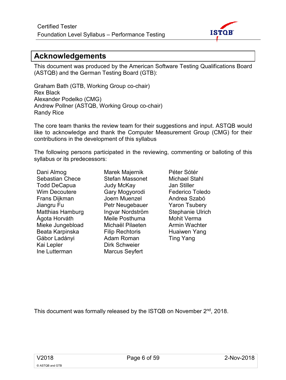

## **Acknowledgements**

This document was produced by the American Software Testing Qualifications Board (ASTQB) and the German Testing Board (GTB):

Graham Bath (GTB, Working Group co-chair) Rex Black Alexander Podelko (CMG) Andrew Pollner (ASTQB, Working Group co-chair) Randy Rice

The core team thanks the review team for their suggestions and input. ASTQB would like to acknowledge and thank the Computer Measurement Group (CMG) for their contributions in the development of this syllabus

The following persons participated in the reviewing, commenting or balloting of this syllabus or its predecessors:

Sebastian Chece Stefan Massonet Michael Stahl Todd DeCapua Judy McKay Jan Stiller Wim Decoutere **Gary Mogyorodi** Federico Toledo Frans Dijkman Joern Muenzel Andrea Szabó Jiangru Fu Petr Neugebauer Yaron Tsubery Matthias Hamburg Ingvar Nordström Stephanie Ulrich Ágota Horváth Meile Posthuma Mohit Verma Mieke Jungebload Michaël Pilaeten Armin Wachter Beata Karpinska Filip Rechtoris Huaiwen Yang Gábor Ladányi **Adam Roman** Ting Yang Kai Lepler Dirk Schweier Ine Lutterman Marcus Seyfert

Dani Almog Marek Majernik Péter Sótér

This document was formally released by the ISTQB on November 2<sup>nd</sup>, 2018.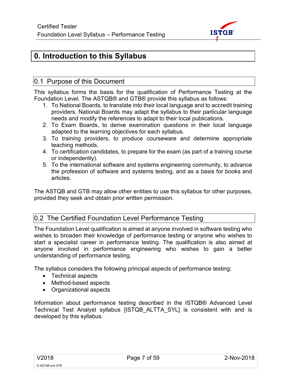

# **0. Introduction to this Syllabus**

## 0.1 Purpose of this Document

This syllabus forms the basis for the qualification of Performance Testing at the Foundation Level. The ASTQB® and GTB® provide this syllabus as follows:

- 1. To National Boards, to translate into their local language and to accredit training providers. National Boards may adapt the syllabus to their particular language needs and modify the references to adapt to their local publications.
- 2. To Exam Boards, to derive examination questions in their local language adapted to the learning objectives for each syllabus.
- 3. To training providers, to produce courseware and determine appropriate teaching methods.
- 4. To certification candidates, to prepare for the exam (as part of a training course or independently).
- 5. To the international software and systems engineering community, to advance the profession of software and systems testing, and as a basis for books and articles.

The ASTQB and GTB may allow other entities to use this syllabus for other purposes, provided they seek and obtain prior written permission.

## 0.2 The Certified Foundation Level Performance Testing

The Foundation Level qualification is aimed at anyone involved in software testing who wishes to broaden their knowledge of performance testing or anyone who wishes to start a specialist career in performance testing. The qualification is also aimed at anyone involved in performance engineering who wishes to gain a better understanding of performance testing.

The syllabus considers the following principal aspects of performance testing:

- Technical aspects
- Method-based aspects
- Organizational aspects

Information about performance testing described in the ISTQB® Advanced Level Technical Test Analyst syllabus [ISTQB\_ALTTA\_SYL] is consistent with and is developed by this syllabus.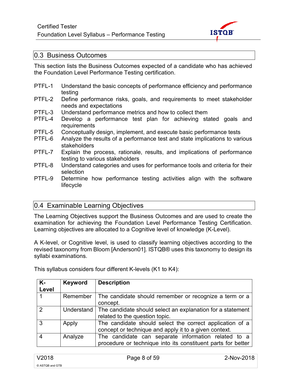

## 0.3 Business Outcomes

This section lists the Business Outcomes expected of a candidate who has achieved the Foundation Level Performance Testing certification.

- PTFL-1 Understand the basic concepts of performance efficiency and performance testing
- PTFL-2 Define performance risks, goals, and requirements to meet stakeholder needs and expectations
- PTFL-3 Understand performance metrics and how to collect them
- PTFL-4 Develop a performance test plan for achieving stated goals and requirements
- PTFL-5 Conceptually design, implement, and execute basic performance tests
- PTFL-6 Analyze the results of a performance test and state implications to various stakeholders
- PTFL-7 Explain the process, rationale, results, and implications of performance testing to various stakeholders
- PTFL-8 Understand categories and uses for performance tools and criteria for their selection
- PTFL-9 Determine how performance testing activities align with the software lifecycle

## 0.4 Examinable Learning Objectives

The Learning Objectives support the Business Outcomes and are used to create the examination for achieving the Foundation Level Performance Testing Certification. Learning objectives are allocated to a Cognitive level of knowledge (K-Level).

A K-level, or Cognitive level, is used to classify learning objectives according to the revised taxonomy from Bloom [Anderson01]. ISTQB® uses this taxonomy to design its syllabi examinations.

| K-            | <b>Keyword</b> | <b>Description</b>                                                                                                  |
|---------------|----------------|---------------------------------------------------------------------------------------------------------------------|
| Level         |                |                                                                                                                     |
|               | Remember       | The candidate should remember or recognize a term or a<br>concept.                                                  |
| $\mathcal{P}$ |                | Understand   The candidate should select an explanation for a statement<br>related to the question topic.           |
| 3             | Apply          | The candidate should select the correct application of a<br>concept or technique and apply it to a given context.   |
|               | Analyze        | The candidate can separate information related to a<br>procedure or technique into its constituent parts for better |

This syllabus considers four different K-levels (K1 to K4):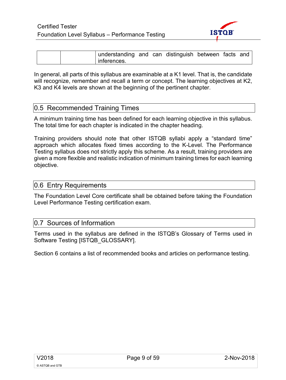

| understanding and can distinguish between facts and<br>inferences. |  |  |  |
|--------------------------------------------------------------------|--|--|--|
|                                                                    |  |  |  |

In general, all parts of this syllabus are examinable at a K1 level. That is, the candidate will recognize, remember and recall a term or concept. The learning objectives at K2, K3 and K4 levels are shown at the beginning of the pertinent chapter.

## 0.5 Recommended Training Times

A minimum training time has been defined for each learning objective in this syllabus. The total time for each chapter is indicated in the chapter heading.

Training providers should note that other ISTQB syllabi apply a "standard time" approach which allocates fixed times according to the K-Level. The Performance Testing syllabus does not strictly apply this scheme. As a result, training providers are given a more flexible and realistic indication of minimum training times for each learning objective.

## 0.6 Entry Requirements

The Foundation Level Core certificate shall be obtained before taking the Foundation Level Performance Testing certification exam.

## 0.7 Sources of Information

Terms used in the syllabus are defined in the ISTQB's Glossary of Terms used in Software Testing [ISTQB\_GLOSSARY].

Section 6 contains a list of recommended books and articles on performance testing.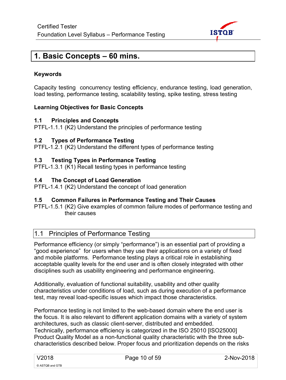

# **1. Basic Concepts – 60 mins.**

## **Keywords**

Capacity testing concurrency testing efficiency, endurance testing, load generation, load testing, performance testing, scalability testing, spike testing, stress testing

## **Learning Objectives for Basic Concepts**

## **1.1 Principles and Concepts**

PTFL-1.1.1 (K2) Understand the principles of performance testing

## **1.2 Types of Performance Testing**

PTFL-1.2.1 (K2) Understand the different types of performance testing

## **1.3 Testing Types in Performance Testing**

PTFL-1.3.1 (K1) Recall testing types in performance testing

## **1.4 The Concept of Load Generation**

PTFL-1.4.1 (K2) Understand the concept of load generation

## **1.5 Common Failures in Performance Testing and Their Causes**

PTFL-1.5.1 (K2) Give examples of common failure modes of performance testing and their causes

## 1.1 Principles of Performance Testing

Performance efficiency (or simply "performance") is an essential part of providing a "good experience" for users when they use their applications on a variety of fixed and mobile platforms. Performance testing plays a critical role in establishing acceptable quality levels for the end user and is often closely integrated with other disciplines such as usability engineering and performance engineering.

Additionally, evaluation of functional suitability, usability and other quality characteristics under conditions of load, such as during execution of a performance test, may reveal load-specific issues which impact those characteristics.

Performance testing is not limited to the web-based domain where the end user is the focus. It is also relevant to different application domains with a variety of system architectures, such as classic client-server, distributed and embedded. Technically, performance efficiency is categorized in the ISO 25010 [ISO25000] Product Quality Model as a non-functional quality characteristic with the three subcharacteristics described below. Proper focus and prioritization depends on the risks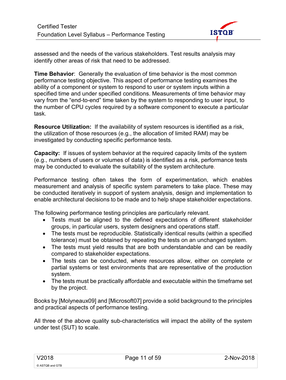

assessed and the needs of the various stakeholders. Test results analysis may identify other areas of risk that need to be addressed.

**Time Behavior**: Generally the evaluation of time behavior is the most common performance testing objective. This aspect of performance testing examines the ability of a component or system to respond to user or system inputs within a specified time and under specified conditions. Measurements of time behavior may vary from the "end-to-end" time taken by the system to responding to user input, to the number of CPU cycles required by a software component to execute a particular task.

**Resource Utilization:** If the availability of system resources is identified as a risk, the utilization of those resources (e.g., the allocation of limited RAM) may be investigated by conducting specific performance tests.

**Capacity:** If issues of system behavior at the required capacity limits of the system (e.g., numbers of users or volumes of data) is identified as a risk, performance tests may be conducted to evaluate the suitability of the system architecture.

Performance testing often takes the form of experimentation, which enables measurement and analysis of specific system parameters to take place. These may be conducted iteratively in support of system analysis, design and implementation to enable architectural decisions to be made and to help shape stakeholder expectations.

The following performance testing principles are particularly relevant.

- Tests must be aligned to the defined expectations of different stakeholder groups, in particular users, system designers and operations staff.
- The tests must be reproducible. Statistically identical results (within a specified tolerance) must be obtained by repeating the tests on an unchanged system.
- The tests must yield results that are both understandable and can be readily compared to stakeholder expectations.
- The tests can be conducted, where resources allow, either on complete or partial systems or test environments that are representative of the production system.
- The tests must be practically affordable and executable within the timeframe set by the project.

Books by [Molyneaux09] and [Microsoft07] provide a solid background to the principles and practical aspects of performance testing.

All three of the above quality sub-characteristics will impact the ability of the system under test (SUT) to scale.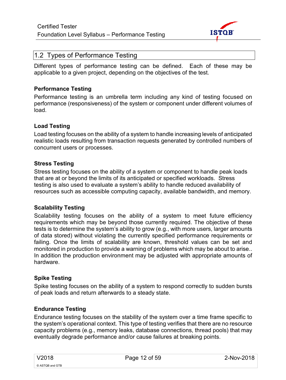

## 1.2 Types of Performance Testing

Different types of performance testing can be defined. Each of these may be applicable to a given project, depending on the objectives of the test.

## **Performance Testing**

Performance testing is an umbrella term including any kind of testing focused on performance (responsiveness) of the system or component under different volumes of load.

## **Load Testing**

Load testing focuses on the ability of a system to handle increasing levels of anticipated realistic loads resulting from transaction requests generated by controlled numbers of concurrent users or processes.

## **Stress Testing**

Stress testing focuses on the ability of a system or component to handle peak loads that are at or beyond the limits of its anticipated or specified workloads. Stress testing is also used to evaluate a system's ability to handle reduced availability of resources such as accessible computing capacity, available bandwidth, and memory.

## **Scalability Testing**

Scalability testing focuses on the ability of a system to meet future efficiency requirements which may be beyond those currently required. The objective of these tests is to determine the system's ability to grow (e.g., with more users, larger amounts of data stored) without violating the currently specified performance requirements or failing. Once the limits of scalability are known, threshold values can be set and monitored in production to provide a warning of problems which may be about to arise.. In addition the production environment may be adjusted with appropriate amounts of hardware.

## **Spike Testing**

Spike testing focuses on the ability of a system to respond correctly to sudden bursts of peak loads and return afterwards to a steady state.

## **Endurance Testing**

Endurance testing focuses on the stability of the system over a time frame specific to the system's operational context. This type of testing verifies that there are no resource capacity problems (e.g., memory leaks, database connections, thread pools) that may eventually degrade performance and/or cause failures at breaking points.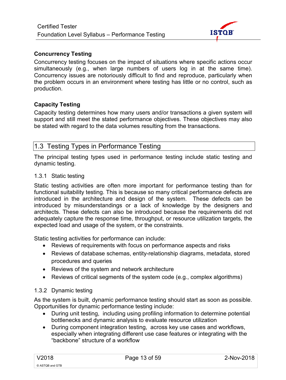

## **Concurrency Testing**

Concurrency testing focuses on the impact of situations where specific actions occur simultaneously (e.g., when large numbers of users log in at the same time). Concurrency issues are notoriously difficult to find and reproduce, particularly when the problem occurs in an environment where testing has little or no control, such as production.

## **Capacity Testing**

Capacity testing determines how many users and/or transactions a given system will support and still meet the stated performance objectives. These objectives may also be stated with regard to the data volumes resulting from the transactions.

## 1.3 Testing Types in Performance Testing

The principal testing types used in performance testing include static testing and dynamic testing.

## 1.3.1 Static testing

Static testing activities are often more important for performance testing than for functional suitability testing. This is because so many critical performance defects are introduced in the architecture and design of the system. These defects can be introduced by misunderstandings or a lack of knowledge by the designers and architects. These defects can also be introduced because the requirements did not adequately capture the response time, throughput, or resource utilization targets, the expected load and usage of the system, or the constraints.

Static testing activities for performance can include:

- Reviews of requirements with focus on performance aspects and risks
- Reviews of database schemas, entity-relationship diagrams, metadata, stored procedures and queries
- Reviews of the system and network architecture
- Reviews of critical segments of the system code (e.g., complex algorithms)

## 1.3.2 Dynamic testing

As the system is built, dynamic performance testing should start as soon as possible. Opportunities for dynamic performance testing include:

- During unit testing, including using profiling information to determine potential bottlenecks and dynamic analysis to evaluate resource utilization
- During component integration testing, across key use cases and workflows, especially when integrating different use case features or integrating with the "backbone" structure of a workflow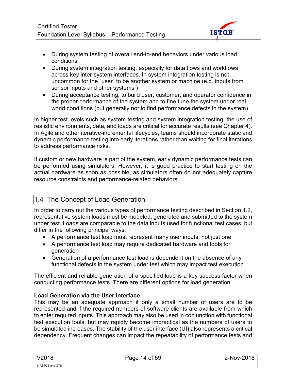

- During system testing of overall end-to-end behaviors under various load conditions
- During system integration testing, especially for data flows and workflows across key inter-system interfaces. In system integration testing is not uncommon for the "user" to be another system or machine (e.g. inputs from sensor inputs and other systems )
- During acceptance testing, to build user, customer, and operator confidence in the proper performance of the system and to fine tune the system under real world conditions (but generally not to find performance defects in the system)

In higher test levels such as system testing and system integration testing, the use of realistic environments, data, and loads are critical for accurate results (see Chapter 4). In Agile and other iterative-incremental lifecycles, teams should incorporate static and dynamic performance testing into early iterations rather than waiting for final iterations to address performance risks.

If custom or new hardware is part of the system, early dynamic performance tests can be performed using simulators. However, it is good practice to start testing on the actual hardware as soon as possible, as simulators often do not adequately capture resource constraints and performance-related behaviors.

## 1.4 The Concept of Load Generation

In order to carry out the various types of performance testing described in Section 1.2, representative system loads must be modeled, generated and submitted to the system under test. Loads are comparable to the data inputs used for functional test cases, but differ in the following principal ways:

- A performance test load must represent many user inputs, not just one
- A performance test load may require dedicated hardware and tools for generation
- Generation of a performance test load is dependent on the absence of any functional defects in the system under test which may impact test execution

The efficient and reliable generation of a specified load is a key success factor when conducting performance tests. There are different options for load generation.

## **Load Generation via the User Interface**

This may be an adequate approach if only a small number of users are to be represented and if the required numbers of software clients are available from which to enter required inputs. This approach may also be used in conjunction with functional test execution tools, but may rapidly become impractical as the numbers of users to be simulated increases. The stability of the user interface (UI) also represents a critical dependency. Frequent changes can impact the repeatability of performance tests and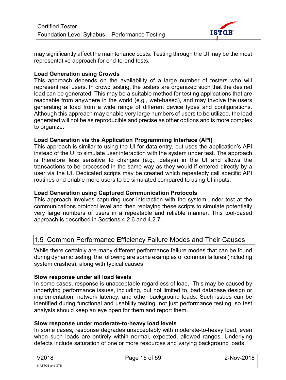

may significantly affect the maintenance costs. Testing through the UI may be the most representative approach for end-to-end tests.

## **Load Generation using Crowds**

This approach depends on the availability of a large number of testers who will represent real users. In crowd testing, the testers are organized such that the desired load can be generated. This may be a suitable method for testing applications that are reachable from anywhere in the world (e.g., web-based), and may involve the users generating a load from a wide range of different device types and configurations. Although this approach may enable very large numbers of users to be utilized, the load generated will not be as reproducible and precise as other options and is more complex to organize.

## **Load Generation via the Application Programming Interface (API)**

This approach is similar to using the UI for data entry, but uses the application's API instead of the UI to simulate user interaction with the system under test. The approach is therefore less sensitive to changes (e.g., delays) in the UI and allows the transactions to be processed in the same way as they would if entered directly by a user via the UI. Dedicated scripts may be created which repeatedly call specific API routines and enable more users to be simulated compared to using UI inputs.

## **Load Generation using Captured Communication Protocols**

This approach involves capturing user interaction with the system under test at the communications protocol level and then replaying these scripts to simulate potentially very large numbers of users in a repeatable and reliable manner. This tool-based approach is described in Sections 4.2.6 and 4.2.7.

## 1.5 Common Performance Efficiency Failure Modes and Their Causes

While there certainly are many different performance failure modes that can be found during dynamic testing, the following are some examples of common failures (including system crashes), along with typical causes:

## **Slow response under all load levels**

In some cases, response is unacceptable regardless of load. This may be caused by underlying performance issues, including, but not limited to, bad database design or implementation, network latency, and other background loads. Such issues can be identified during functional and usability testing, not just performance testing, so test analysts should keep an eye open for them and report them.

## **Slow response under moderate-to-heavy load levels**

In some cases, response degrades unacceptably with moderate-to-heavy load, even when such loads are entirely within normal, expected, allowed ranges. Underlying defects include saturation of one or more resources and varying background loads.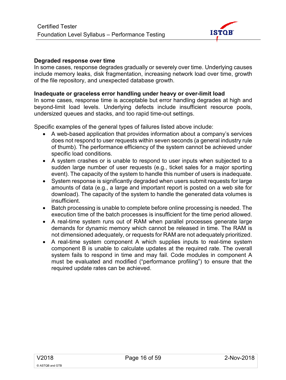

## **Degraded response over time**

In some cases, response degrades gradually or severely over time. Underlying causes include memory leaks, disk fragmentation, increasing network load over time, growth of the file repository, and unexpected database growth.

#### **Inadequate or graceless error handling under heavy or over-limit load**

In some cases, response time is acceptable but error handling degrades at high and beyond-limit load levels. Underlying defects include insufficient resource pools, undersized queues and stacks, and too rapid time-out settings.

Specific examples of the general types of failures listed above include:

- A web-based application that provides information about a company's services does not respond to user requests within seven seconds (a general industry rule of thumb). The performance efficiency of the system cannot be achieved under specific load conditions.
- A system crashes or is unable to respond to user inputs when subjected to a sudden large number of user requests (e.g., ticket sales for a major sporting event). The capacity of the system to handle this number of users is inadequate.
- System response is significantly degraded when users submit requests for large amounts of data (e.g., a large and important report is posted on a web site for download). The capacity of the system to handle the generated data volumes is insufficient.
- Batch processing is unable to complete before online processing is needed. The execution time of the batch processes is insufficient for the time period allowed.
- A real-time system runs out of RAM when parallel processes generate large demands for dynamic memory which cannot be released in time. The RAM is not dimensioned adequately, or requests for RAM are not adequately prioritized.
- A real-time system component A which supplies inputs to real-time system component B is unable to calculate updates at the required rate. The overall system fails to respond in time and may fail. Code modules in component A must be evaluated and modified ("performance profiling") to ensure that the required update rates can be achieved.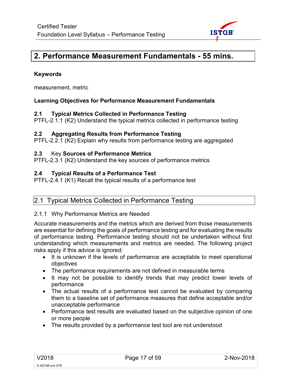

# **2. Performance Measurement Fundamentals - 55 mins.**

## **Keywords**

measurement, metric

## **Learning Objectives for Performance Measurement Fundamentals**

## **2.1 Typical Metrics Collected in Performance Testing**

PTFL-2.1.1 (K2) Understand the typical metrics collected in performance testing

## **2.2 Aggregating Results from Performance Testing**

PTFL-2.2.1 (K2) Explain why results from performance testing are aggregated

## **2.3** Key **Sources of Performance Metrics**

PTFL-2.3.1 (K2) Understand the key sources of performance metrics

## **2.4 Typical Results of a Performance Test**

PTFL-2.4.1 (K1) Recall the typical results of a performance test

## 2.1 Typical Metrics Collected in Performance Testing

## 2.1.1 Why Performance Metrics are Needed

Accurate measurements and the metrics which are derived from those measurements are essential for defining the goals of performance testing and for evaluating the results of performance testing. Performance testing should not be undertaken without first understanding which measurements and metrics are needed. The following project risks apply if this advice is ignored:

- It is unknown if the levels of performance are acceptable to meet operational objectives
- The performance requirements are not defined in measurable terms
- It may not be possible to identify trends that may predict lower levels of performance
- The actual results of a performance test cannot be evaluated by comparing them to a baseline set of performance measures that define acceptable and/or unacceptable performance
- Performance test results are evaluated based on the subjective opinion of one or more people
- The results provided by a performance test tool are not understood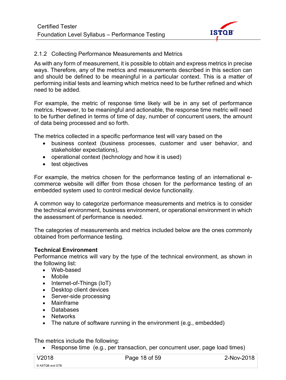

## 2.1.2 Collecting Performance Measurements and Metrics

As with any form of measurement, it is possible to obtain and express metrics in precise ways. Therefore, any of the metrics and measurements described in this section can and should be defined to be meaningful in a particular context. This is a matter of performing initial tests and learning which metrics need to be further refined and which need to be added.

For example, the metric of response time likely will be in any set of performance metrics. However, to be meaningful and actionable, the response time metric will need to be further defined in terms of time of day, number of concurrent users, the amount of data being processed and so forth.

The metrics collected in a specific performance test will vary based on the

- business context (business processes, customer and user behavior, and stakeholder expectations),
- operational context (technology and how it is used)
- test objectives

For example, the metrics chosen for the performance testing of an international ecommerce website will differ from those chosen for the performance testing of an embedded system used to control medical device functionality.

A common way to categorize performance measurements and metrics is to consider the technical environment, business environment, or operational environment in which the assessment of performance is needed.

The categories of measurements and metrics included below are the ones commonly obtained from performance testing.

## **Technical Environment**

Performance metrics will vary by the type of the technical environment, as shown in the following list:

- Web-based
- Mobile
- Internet-of-Things (IoT)
- Desktop client devices
- Server-side processing
- Mainframe
- Databases
- Networks
- The nature of software running in the environment (e.g., embedded)

The metrics include the following:

• Response time (e.g., per transaction, per concurrent user, page load times)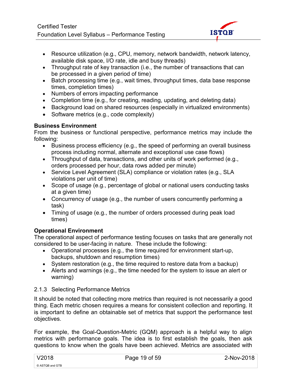

- Resource utilization (e.g., CPU, memory, network bandwidth, network latency, available disk space, I/O rate, idle and busy threads)
- Throughput rate of key transaction (i.e., the number of transactions that can be processed in a given period of time)
- Batch processing time (e.g., wait times, throughput times, data base response times, completion times)
- Numbers of errors impacting performance
- Completion time (e.g., for creating, reading, updating, and deleting data)
- Background load on shared resources (especially in virtualized environments)
- Software metrics (e.g., code complexity)

## **Business Environment**

From the business or functional perspective, performance metrics may include the following:

- Business process efficiency (e.g., the speed of performing an overall business process including normal, alternate and exceptional use case flows)
- Throughput of data, transactions, and other units of work performed (e.g., orders processed per hour, data rows added per minute)
- Service Level Agreement (SLA) compliance or violation rates (e.g., SLA violations per unit of time)
- Scope of usage (e.g., percentage of global or national users conducting tasks at a given time)
- Concurrency of usage (e.g., the number of users concurrently performing a task)
- Timing of usage (e.g., the number of orders processed during peak load times)

## **Operational Environment**

The operational aspect of performance testing focuses on tasks that are generally not considered to be user-facing in nature. These include the following:

- Operational processes (e.g., the time required for environment start-up, backups, shutdown and resumption times)
- System restoration (e.g., the time required to restore data from a backup)
- Alerts and warnings (e.g., the time needed for the system to issue an alert or warning)

## 2.1.3 Selecting Performance Metrics

It should be noted that collecting more metrics than required is not necessarily a good thing. Each metric chosen requires a means for consistent collection and reporting. It is important to define an obtainable set of metrics that support the performance test objectives.

For example, the Goal-Question-Metric (GQM) approach is a helpful way to align metrics with performance goals. The idea is to first establish the goals, then ask questions to know when the goals have been achieved. Metrics are associated with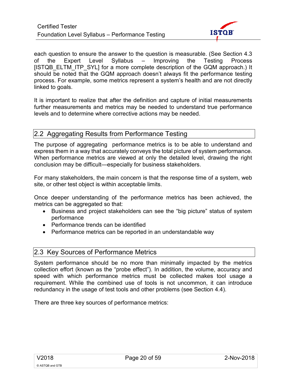

each question to ensure the answer to the question is measurable. (See Section 4.3 of the Expert Level Syllabus – Improving the Testing Process [ISTQB\_ELTM\_ITP\_SYL] for a more complete description of the GQM approach.) It should be noted that the GQM approach doesn't always fit the performance testing process. For example, some metrics represent a system's health and are not directly linked to goals.

It is important to realize that after the definition and capture of initial measurements further measurements and metrics may be needed to understand true performance levels and to determine where corrective actions may be needed.

## 2.2 Aggregating Results from Performance Testing

The purpose of aggregating performance metrics is to be able to understand and express them in a way that accurately conveys the total picture of system performance. When performance metrics are viewed at only the detailed level, drawing the right conclusion may be difficult—especially for business stakeholders.

For many stakeholders, the main concern is that the response time of a system, web site, or other test object is within acceptable limits.

Once deeper understanding of the performance metrics has been achieved, the metrics can be aggregated so that:

- Business and project stakeholders can see the "big picture" status of system performance
- Performance trends can be identified
- Performance metrics can be reported in an understandable way

## 2.3 Key Sources of Performance Metrics

System performance should be no more than minimally impacted by the metrics collection effort (known as the "probe effect"). In addition, the volume, accuracy and speed with which performance metrics must be collected makes tool usage a requirement. While the combined use of tools is not uncommon, it can introduce redundancy in the usage of test tools and other problems (see Section 4.4).

There are three key sources of performance metrics: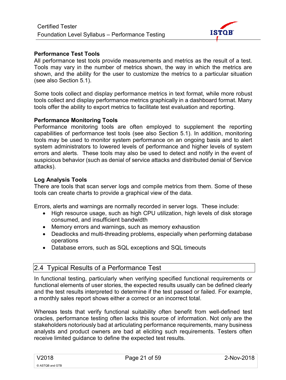

## **Performance Test Tools**

All performance test tools provide measurements and metrics as the result of a test. Tools may vary in the number of metrics shown, the way in which the metrics are shown, and the ability for the user to customize the metrics to a particular situation (see also Section 5.1).

Some tools collect and display performance metrics in text format, while more robust tools collect and display performance metrics graphically in a dashboard format. Many tools offer the ability to export metrics to facilitate test evaluation and reporting.

## **Performance Monitoring Tools**

Performance monitoring tools are often employed to supplement the reporting capabilities of performance test tools (see also Section 5.1). In addition, monitoring tools may be used to monitor system performance on an ongoing basis and to alert system administrators to lowered levels of performance and higher levels of system errors and alerts. These tools may also be used to detect and notify in the event of suspicious behavior (such as denial of service attacks and distributed denial of Service attacks).

## **Log Analysis Tools**

There are tools that scan server logs and compile metrics from them. Some of these tools can create charts to provide a graphical view of the data.

Errors, alerts and warnings are normally recorded in server logs. These include:

- High resource usage, such as high CPU utilization, high levels of disk storage consumed, and insufficient bandwidth
- Memory errors and warnings, such as memory exhaustion
- Deadlocks and multi-threading problems, especially when performing database operations
- Database errors, such as SQL exceptions and SQL timeouts

## 2.4 Typical Results of a Performance Test

In functional testing, particularly when verifying specified functional requirements or functional elements of user stories, the expected results usually can be defined clearly and the test results interpreted to determine if the test passed or failed. For example, a monthly sales report shows either a correct or an incorrect total.

Whereas tests that verify functional suitability often benefit from well-defined test oracles, performance testing often lacks this source of information. Not only are the stakeholders notoriously bad at articulating performance requirements, many business analysts and product owners are bad at eliciting such requirements. Testers often receive limited guidance to define the expected test results.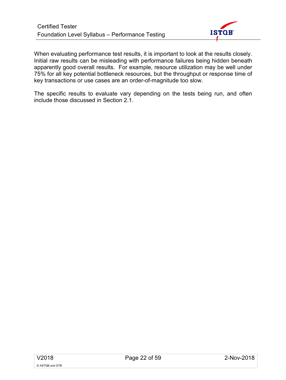

When evaluating performance test results, it is important to look at the results closely. Initial raw results can be misleading with performance failures being hidden beneath apparently good overall results. For example, resource utilization may be well under 75% for all key potential bottleneck resources, but the throughput or response time of key transactions or use cases are an order-of-magnitude too slow.

The specific results to evaluate vary depending on the tests being run, and often include those discussed in Section 2.1.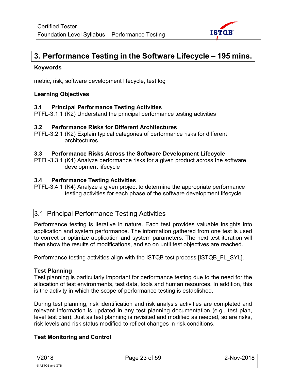

# **3. Performance Testing in the Software Lifecycle – 195 mins.**

## **Keywords**

metric, risk, software development lifecycle, test log

## **Learning Objectives**

#### **3.1 Principal Performance Testing Activities**

PTFL-3.1.1 (K2) Understand the principal performance testing activities

#### **3.2 Performance Risks for Different Architectures**

PTFL-3.2.1 (K2) Explain typical categories of performance risks for different architectures

#### **3.3 Performance Risks Across the Software Development Lifecycle**

PTFL-3.3.1 (K4) Analyze performance risks for a given product across the software development lifecycle

## **3.4 Performance Testing Activities**

PTFL-3.4.1 (K4) Analyze a given project to determine the appropriate performance testing activities for each phase of the software development lifecycle

## 3.1 Principal Performance Testing Activities

Performance testing is iterative in nature. Each test provides valuable insights into application and system performance. The information gathered from one test is used to correct or optimize application and system parameters. The next test iteration will then show the results of modifications, and so on until test objectives are reached.

Performance testing activities align with the ISTQB test process [ISTQB\_FL\_SYL].

#### **Test Planning**

Test planning is particularly important for performance testing due to the need for the allocation of test environments, test data, tools and human resources. In addition, this is the activity in which the scope of performance testing is established.

During test planning, risk identification and risk analysis activities are completed and relevant information is updated in any test planning documentation (e.g., test plan, level test plan). Just as test planning is revisited and modified as needed, so are risks, risk levels and risk status modified to reflect changes in risk conditions.

## **Test Monitoring and Control**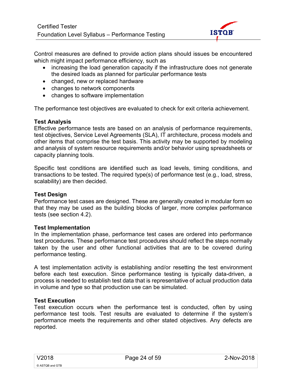

Control measures are defined to provide action plans should issues be encountered which might impact performance efficiency, such as

- increasing the load generation capacity if the infrastructure does not generate the desired loads as planned for particular performance tests
- changed, new or replaced hardware
- changes to network components
- changes to software implementation

The performance test objectives are evaluated to check for exit criteria achievement.

## **Test Analysis**

Effective performance tests are based on an analysis of performance requirements, test objectives, Service Level Agreements (SLA), IT architecture, process models and other items that comprise the test basis. This activity may be supported by modeling and analysis of system resource requirements and/or behavior using spreadsheets or capacity planning tools.

Specific test conditions are identified such as load levels, timing conditions, and transactions to be tested. The required type(s) of performance test (e.g., load, stress, scalability) are then decided.

## **Test Design**

Performance test cases are designed. These are generally created in modular form so that they may be used as the building blocks of larger, more complex performance tests (see section 4.2).

## **Test Implementation**

In the implementation phase, performance test cases are ordered into performance test procedures. These performance test procedures should reflect the steps normally taken by the user and other functional activities that are to be covered during performance testing.

A test implementation activity is establishing and/or resetting the test environment before each test execution. Since performance testing is typically data-driven, a process is needed to establish test data that is representative of actual production data in volume and type so that production use can be simulated.

## **Test Execution**

Test execution occurs when the performance test is conducted, often by using performance test tools. Test results are evaluated to determine if the system's performance meets the requirements and other stated objectives. Any defects are reported.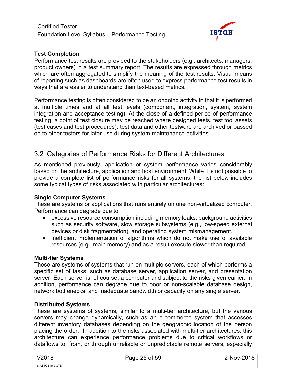

## **Test Completion**

Performance test results are provided to the stakeholders (e.g., architects, managers, product owners) in a test summary report. The results are expressed through metrics which are often aggregated to simplify the meaning of the test results. Visual means of reporting such as dashboards are often used to express performance test results in ways that are easier to understand than text-based metrics.

Performance testing is often considered to be an ongoing activity in that it is performed at multiple times and at all test levels (component, integration, system, system integration and acceptance testing). At the close of a defined period of performance testing, a point of test closure may be reached where designed tests, test tool assets (test cases and test procedures), test data and other testware are archived or passed on to other testers for later use during system maintenance activities.

## 3.2 Categories of Performance Risks for Different Architectures

As mentioned previously, application or system performance varies considerably based on the architecture, application and host environment. While it is not possible to provide a complete list of performance risks for all systems, the list below includes some typical types of risks associated with particular architectures:

## **Single Computer Systems**

These are systems or applications that runs entirely on one non-virtualized computer. Performance can degrade due to

- excessive resource consumption including memory leaks, background activities such as security software, slow storage subsystems (e.g., low-speed external devices or disk fragmentation), and operating system mismanagement.
- inefficient implementation of algorithms which do not make use of available resources (e.g., main memory) and as a result execute slower than required.

## **Multi-tier Systems**

These are systems of systems that run on multiple servers, each of which performs a specific set of tasks, such as database server, application server, and presentation server. Each server is, of course, a computer and subject to the risks given earlier. In addition, performance can degrade due to poor or non-scalable database design, network bottlenecks, and inadequate bandwidth or capacity on any single server.

## **Distributed Systems**

These are systems of systems, similar to a multi-tier architecture, but the various servers may change dynamically, such as an e-commerce system that accesses different inventory databases depending on the geographic location of the person placing the order. In addition to the risks associated with multi-tier architectures, this architecture can experience performance problems due to critical workflows or dataflows to, from, or through unreliable or unpredictable remote servers, especially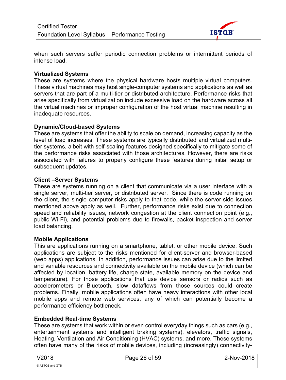

when such servers suffer periodic connection problems or intermittent periods of intense load.

## **Virtualized Systems**

These are systems where the physical hardware hosts multiple virtual computers. These virtual machines may host single-computer systems and applications as well as servers that are part of a multi-tier or distributed architecture. Performance risks that arise specifically from virtualization include excessive load on the hardware across all the virtual machines or improper configuration of the host virtual machine resulting in inadequate resources.

## **Dynamic/Cloud-based Systems**

These are systems that offer the ability to scale on demand, increasing capacity as the level of load increases. These systems are typically distributed and virtualized multitier systems, albeit with self-scaling features designed specifically to mitigate some of the performance risks associated with those architectures. However, there are risks associated with failures to properly configure these features during initial setup or subsequent updates.

## **Client –Server Systems**

These are systems running on a client that communicate via a user interface with a single server, multi-tier server, or distributed server. Since there is code running on the client, the single computer risks apply to that code, while the server-side issues mentioned above apply as well. Further, performance risks exist due to connection speed and reliability issues, network congestion at the client connection point (e.g., public Wi-Fi), and potential problems due to firewalls, packet inspection and server load balancing.

## **Mobile Applications**

This are applications running on a smartphone, tablet, or other mobile device. Such applications are subject to the risks mentioned for client-server and browser-based (web apps) applications. In addition, performance issues can arise due to the limited and variable resources and connectivity available on the mobile device (which can be affected by location, battery life, charge state, available memory on the device and temperature). For those applications that use device sensors or radios such as accelerometers or Bluetooth, slow dataflows from those sources could create problems. Finally, mobile applications often have heavy interactions with other local mobile apps and remote web services, any of which can potentially become a performance efficiency bottleneck.

## **Embedded Real-time Systems**

These are systems that work within or even control everyday things such as cars (e.g., entertainment systems and intelligent braking systems), elevators, traffic signals, Heating, Ventilation and Air Conditioning (HVAC) systems, and more. These systems often have many of the risks of mobile devices, including (increasingly) connectivity-

© ASTQB and GTB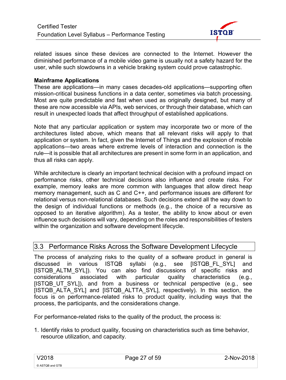

related issues since these devices are connected to the Internet. However the diminished performance of a mobile video game is usually not a safety hazard for the user, while such slowdowns in a vehicle braking system could prove catastrophic.

## **Mainframe Applications**

These are applications—in many cases decades-old applications—supporting often mission-critical business functions in a data center, sometimes via batch processing. Most are quite predictable and fast when used as originally designed, but many of these are now accessible via APIs, web services, or through their database, which can result in unexpected loads that affect throughput of established applications.

Note that any particular application or system may incorporate two or more of the architectures listed above, which means that all relevant risks will apply to that application or system. In fact, given the Internet of Things and the explosion of mobile applications—two areas where extreme levels of interaction and connection is the rule—it is possible that all architectures are present in some form in an application, and thus all risks can apply.

While architecture is clearly an important technical decision with a profound impact on performance risks, other technical decisions also influence and create risks. For example, memory leaks are more common with languages that allow direct heap memory management, such as C and C++, and performance issues are different for relational versus non-relational databases. Such decisions extend all the way down to the design of individual functions or methods (e.g., the choice of a recursive as opposed to an iterative algorithm). As a tester, the ability to know about or even influence such decisions will vary, depending on the roles and responsibilities of testers within the organization and software development lifecycle.

## 3.3 Performance Risks Across the Software Development Lifecycle

The process of analyzing risks to the quality of a software product in general is discussed in various ISTQB syllabi (e.g., see [ISTQB\_FL\_SYL] and [ISTQB\_ALTM\_SYL]). You can also find discussions of specific risks and considerations associated with particular quality characteristics (e.g., [ISTQB UT SYL]), and from a business or technical perspective (e.g., see [ISTQB ALTA SYL] and [ISTQB ALTTA SYL], respectively). In this section, the focus is on performance-related risks to product quality, including ways that the process, the participants, and the considerations change.

For performance-related risks to the quality of the product, the process is:

1. Identify risks to product quality, focusing on characteristics such as time behavior, resource utilization, and capacity.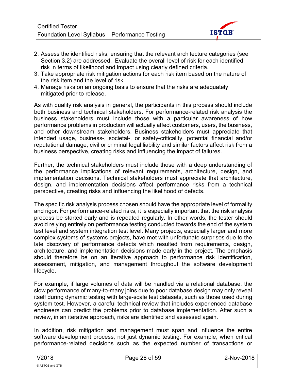

- 2. Assess the identified risks, ensuring that the relevant architecture categories (see Section 3.2) are addressed. Evaluate the overall level of risk for each identified risk in terms of likelihood and impact using clearly defined criteria.
- 3. Take appropriate risk mitigation actions for each risk item based on the nature of the risk item and the level of risk.
- 4. Manage risks on an ongoing basis to ensure that the risks are adequately mitigated prior to release.

As with quality risk analysis in general, the participants in this process should include both business and technical stakeholders. For performance-related risk analysis the business stakeholders must include those with a particular awareness of how performance problems in production will actually affect customers, users, the business, and other downstream stakeholders. Business stakeholders must appreciate that intended usage, business-, societal-, or safety-criticality, potential financial and/or reputational damage, civil or criminal legal liability and similar factors affect risk from a business perspective, creating risks and influencing the impact of failures.

Further, the technical stakeholders must include those with a deep understanding of the performance implications of relevant requirements, architecture, design, and implementation decisions. Technical stakeholders must appreciate that architecture, design, and implementation decisions affect performance risks from a technical perspective, creating risks and influencing the likelihood of defects.

The specific risk analysis process chosen should have the appropriate level of formality and rigor. For performance-related risks, it is especially important that the risk analysis process be started early and is repeated regularly. In other words, the tester should avoid relying entirely on performance testing conducted towards the end of the system test level and system integration test level. Many projects, especially larger and more complex systems of systems projects, have met with unfortunate surprises due to the late discovery of performance defects which resulted from requirements, design, architecture, and implementation decisions made early in the project. The emphasis should therefore be on an iterative approach to performance risk identification, assessment, mitigation, and management throughout the software development lifecycle.

For example, if large volumes of data will be handled via a relational database, the slow performance of many-to-many joins due to poor database design may only reveal itself during dynamic testing with large-scale test datasets, such as those used during system test. However, a careful technical review that includes experienced database engineers can predict the problems prior to database implementation. After such a review, in an iterative approach, risks are identified and assessed again.

In addition, risk mitigation and management must span and influence the entire software development process, not just dynamic testing. For example, when critical performance-related decisions such as the expected number of transactions or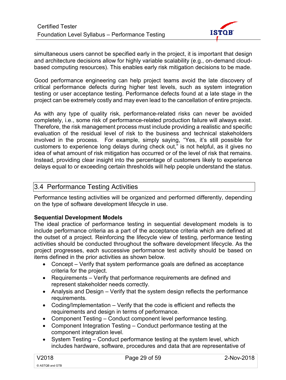

simultaneous users cannot be specified early in the project, it is important that design and architecture decisions allow for highly variable scalability (e.g., on-demand cloudbased computing resources). This enables early risk mitigation decisions to be made.

Good performance engineering can help project teams avoid the late discovery of critical performance defects during higher test levels, such as system integration testing or user acceptance testing. Performance defects found at a late stage in the project can be extremely costly and may even lead to the cancellation of entire projects.

As with any type of quality risk, performance-related risks can never be avoided completely, i.e., some risk of performance-related production failure will always exist. Therefore, the risk management process must include providing a realistic and specific evaluation of the residual level of risk to the business and technical stakeholders involved in the process. For example, simply saying, "Yes, it's still possible for customers to experience long delays during check out," is not helpful, as it gives no idea of what amount of risk mitigation has occurred or of the level of risk that remains. Instead, providing clear insight into the percentage of customers likely to experience delays equal to or exceeding certain thresholds will help people understand the status.

## 3.4 Performance Testing Activities

Performance testing activities will be organized and performed differently, depending on the type of software development lifecycle in use.

## **Sequential Development Models**

The ideal practice of performance testing in sequential development models is to include performance criteria as a part of the acceptance criteria which are defined at the outset of a project. Reinforcing the lifecycle view of testing, performance testing activities should be conducted throughout the software development lifecycle. As the project progresses, each successive performance test activity should be based on items defined in the prior activities as shown below.

- Concept Verify that system performance goals are defined as acceptance criteria for the project.
- Requirements Verify that performance requirements are defined and represent stakeholder needs correctly.
- Analysis and Design Verify that the system design reflects the performance requirements.
- Coding/Implementation Verify that the code is efficient and reflects the requirements and design in terms of performance.
- Component Testing Conduct component level performance testing.
- Component Integration Testing Conduct performance testing at the component integration level.
- System Testing Conduct performance testing at the system level, which includes hardware, software, procedures and data that are representative of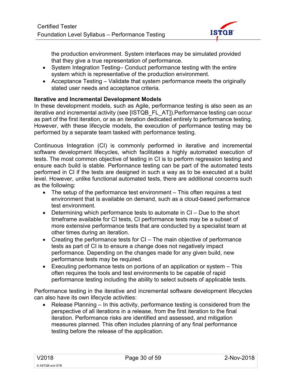

the production environment. System interfaces may be simulated provided that they give a true representation of performance.

- System Integration Testing– Conduct performance testing with the entire system which is representative of the production environment.
- Acceptance Testing Validate that system performance meets the originally stated user needs and acceptance criteria.

## **Iterative and Incremental Development Models**

In these development models, such as Agile, performance testing is also seen as an iterative and incremental activity (see [ISTQB\_FL\_AT]).Performance testing can occur as part of the first iteration, or as an iteration dedicated entirely to performance testing. However, with these lifecycle models, the execution of performance testing may be performed by a separate team tasked with performance testing.

Continuous Integration (CI) is commonly performed in iterative and incremental software development lifecycles, which facilitates a highly automated execution of tests. The most common objective of testing in CI is to perform regression testing and ensure each build is stable. Performance testing can be part of the automated tests performed in CI if the tests are designed in such a way as to be executed at a build level. However, unlike functional automated tests, there are additional concerns such as the following:

- The setup of the performance test environment This often requires a test environment that is available on demand, such as a cloud-based performance test environment.
- Determining which performance tests to automate in CI Due to the short timeframe available for CI tests, CI performance tests may be a subset of more extensive performance tests that are conducted by a specialist team at other times during an iteration.
- Creating the performance tests for CI The main objective of performance tests as part of CI is to ensure a change does not negatively impact performance. Depending on the changes made for any given build, new performance tests may be required.
- Executing performance tests on portions of an application or system This often requires the tools and test environments to be capable of rapid performance testing including the ability to select subsets of applicable tests.

Performance testing in the iterative and incremental software development lifecycles can also have its own lifecycle activities:

• Release Planning  $-$  In this activity, performance testing is considered from the perspective of all iterations in a release, from the first iteration to the final iteration. Performance risks are identified and assessed, and mitigation measures planned. This often includes planning of any final performance testing before the release of the application.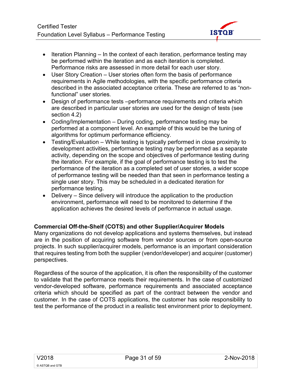

- $\bullet$  Iteration Planning In the context of each iteration, performance testing may be performed within the iteration and as each iteration is completed. Performance risks are assessed in more detail for each user story.
- User Story Creation User stories often form the basis of performance requirements in Agile methodologies, with the specific performance criteria described in the associated acceptance criteria. These are referred to as "nonfunctional" user stories.
- Design of performance tests –performance requirements and criteria which are described in particular user stories are used for the design of tests (see section 4.2)
- Coding/Implementation During coding, performance testing may be performed at a component level. An example of this would be the tuning of algorithms for optimum performance efficiency.
- Testing/Evaluation While testing is typically performed in close proximity to development activities, performance testing may be performed as a separate activity, depending on the scope and objectives of performance testing during the iteration. For example, if the goal of performance testing is to test the performance of the iteration as a completed set of user stories, a wider scope of performance testing will be needed than that seen in performance testing a single user story. This may be scheduled in a dedicated iteration for performance testing.
- Delivery Since delivery will introduce the application to the production environment, performance will need to be monitored to determine if the application achieves the desired levels of performance in actual usage.

## **Commercial Off-the-Shelf (COTS) and other Supplier/Acquirer Models**

Many organizations do not develop applications and systems themselves, but instead are in the position of acquiring software from vendor sources or from open-source projects. In such supplier/acquirer models, performance is an important consideration that requires testing from both the supplier (vendor/developer) and acquirer (customer) perspectives.

Regardless of the source of the application, it is often the responsibility of the customer to validate that the performance meets their requirements. In the case of customized vendor-developed software, performance requirements and associated acceptance criteria which should be specified as part of the contract between the vendor and customer. In the case of COTS applications, the customer has sole responsibility to test the performance of the product in a realistic test environment prior to deployment.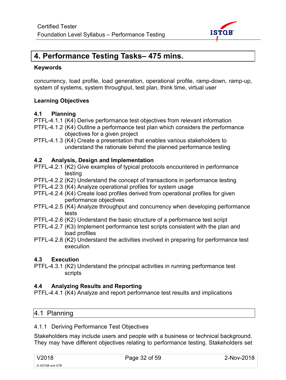

# **4. Performance Testing Tasks– 475 mins.**

## **Keywords**

concurrency, load profile, load generation, operational profile, ramp-down, ramp-up, system of systems, system throughput, test plan, think time, virtual user

## **Learning Objectives**

## **4.1 Planning**

PTFL-4.1.1 (K4) Derive performance test objectives from relevant information

- PTFL-4.1.2 (K4) Outline a performance test plan which considers the performance objectives for a given project
- PTFL-4.1.3 (K4) Create a presentation that enables various stakeholders to understand the rationale behind the planned performance testing

## **4.2 Analysis, Design and Implementation**

- PTFL-4.2.1 (K2) Give examples of typical protocols encountered in performance testing
- PTFL-4.2.2 (K2) Understand the concept of transactions in performance testing
- PTFL-4.2.3 (K4) Analyze operational profiles for system usage
- PTFL-4.2.4 (K4) Create load profiles derived from operational profiles for given performance objectives
- PTFL-4.2.5 (K4) Analyze throughput and concurrency when developing performance tests
- PTFL-4.2.6 (K2) Understand the basic structure of a performance test script
- PTFL-4.2.7 (K3) Implement performance test scripts consistent with the plan and load profiles
- PTFL-4.2.8 (K2) Understand the activities involved in preparing for performance test execution

## **4.3 Execution**

PTFL-4.3.1 (K2) Understand the principal activities in running performance test scripts

## **4.4 Analyzing Results and Reporting**

PTFL-4.4.1 (K4) Analyze and report performance test results and implications

## 4.1 Planning

## 4.1.1 Deriving Performance Test Objectives

Stakeholders may include users and people with a business or technical background. They may have different objectives relating to performance testing. Stakeholders set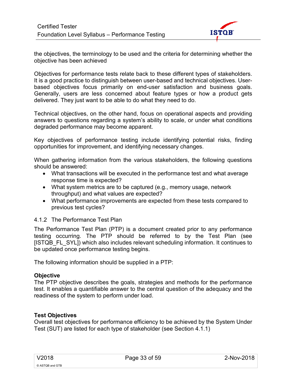

the objectives, the terminology to be used and the criteria for determining whether the objective has been achieved

Objectives for performance tests relate back to these different types of stakeholders. It is a good practice to distinguish between user-based and technical objectives. Userbased objectives focus primarily on end-user satisfaction and business goals. Generally, users are less concerned about feature types or how a product gets delivered. They just want to be able to do what they need to do.

Technical objectives, on the other hand, focus on operational aspects and providing answers to questions regarding a system's ability to scale, or under what conditions degraded performance may become apparent.

Key objectives of performance testing include identifying potential risks, finding opportunities for improvement, and identifying necessary changes.

When gathering information from the various stakeholders, the following questions should be answered:

- What transactions will be executed in the performance test and what average response time is expected?
- What system metrics are to be captured (e.g., memory usage, network throughput) and what values are expected?
- What performance improvements are expected from these tests compared to previous test cycles?

## 4.1.2 The Performance Test Plan

The Performance Test Plan (PTP) is a document created prior to any performance testing occurring. The PTP should be referred to by the Test Plan (see [ISTQB\_FL\_SYL]) which also includes relevant scheduling information. It continues to be updated once performance testing begins.

The following information should be supplied in a PTP:

## **Objective**

The PTP objective describes the goals, strategies and methods for the performance test. It enables a quantifiable answer to the central question of the adequacy and the readiness of the system to perform under load.

## **Test Objectives**

Overall test objectives for performance efficiency to be achieved by the System Under Test (SUT) are listed for each type of stakeholder (see Section 4.1.1)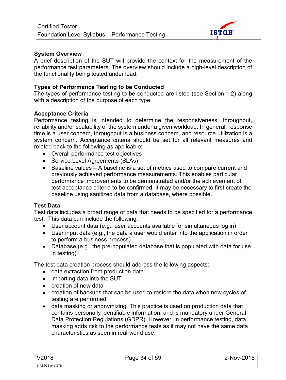

## **System Overview**

A brief description of the SUT will provide the context for the measurement of the performance test parameters. The overview should include a high-level description of the functionality being tested under load.

## **Types of Performance Testing to be Conducted**

The types of performance testing to be conducted are listed (see Section 1.2) along with a description of the purpose of each type.

## **Acceptance Criteria**

Performance testing is intended to determine the responsiveness, throughput, reliability and/or scalability of the system under a given workload. In general, response time is a user concern, throughput is a business concern, and resource utilization is a system concern. Acceptance criteria should be set for all relevant measures and related back to the following as applicable:

- Overall performance test objectives
- Service Level Agreements (SLAs)
- Baseline values A baseline is a set of metrics used to compare current and previously achieved performance measurements. This enables particular performance improvements to be demonstrated and/or the achievement of test acceptance criteria to be confirmed. It may be necessary to first create the baseline using sanitized data from a database, where possible.

## **Test Data**

Test data includes a broad range of data that needs to be specified for a performance test. This data can include the following:

- User account data (e.g., user accounts available for simultaneous log in)
- User input data (e.g., the data a user would enter into the application in order to perform a business process)
- Database (e.g., the pre-populated database that is populated with data for use in testing)

The test data creation process should address the following aspects:

- data extraction from production data
- importing data into the SUT
- creation of new data
- creation of backups that can be used to restore the data when new cycles of testing are performed
- data masking or anonymizing. This practice is used on production data that contains personally identifiable information, and is mandatory under General Data Protection Regulations (GDPR). However, in performance testing, data masking adds risk to the performance tests as it may not have the same data characteristics as seen in real-world use.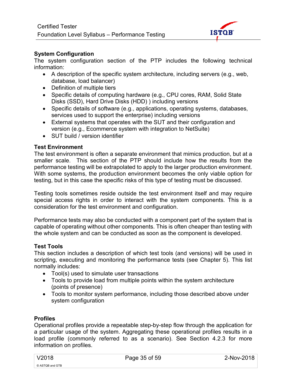

## **System Configuration**

The system configuration section of the PTP includes the following technical information:

- A description of the specific system architecture, including servers (e.g., web, database, load balancer)
- Definition of multiple tiers
- Specific details of computing hardware (e.g., CPU cores, RAM, Solid State Disks (SSD), Hard Drive Disks (HDD) ) including versions
- Specific details of software (e.g., applications, operating systems, databases, services used to support the enterprise) including versions
- External systems that operates with the SUT and their configuration and version (e.g., Ecommerce system with integration to NetSuite)
- SUT build / version identifier

## **Test Environment**

The test environment is often a separate environment that mimics production, but at a smaller scale. This section of the PTP should include how the results from the performance testing will be extrapolated to apply to the larger production environment. With some systems, the production environment becomes the only viable option for testing, but in this case the specific risks of this type of testing must be discussed.

Testing tools sometimes reside outside the test environment itself and may require special access rights in order to interact with the system components. This is a consideration for the test environment and configuration.

Performance tests may also be conducted with a component part of the system that is capable of operating without other components. This is often cheaper than testing with the whole system and can be conducted as soon as the component is developed.

## **Test Tools**

This section includes a description of which test tools (and versions) will be used in scripting, executing and monitoring the performance tests (see Chapter 5). This list normally includes:

- Tool(s) used to simulate user transactions
- Tools to provide load from multiple points within the system architecture (points of presence)
- Tools to monitor system performance, including those described above under system configuration

## **Profiles**

Operational profiles provide a repeatable step-by-step flow through the application for a particular usage of the system. Aggregating these operational profiles results in a load profile (commonly referred to as a scenario). See Section 4.2.3 for more information on profiles.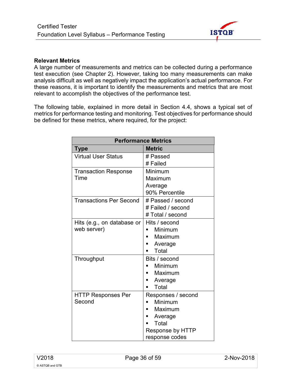

## **Relevant Metrics**

A large number of measurements and metrics can be collected during a performance test execution (see Chapter 2). However, taking too many measurements can make analysis difficult as well as negatively impact the application's actual performance. For these reasons, it is important to identify the measurements and metrics that are most relevant to accomplish the objectives of the performance test.

The following table, explained in more detail in Section 4.4, shows a typical set of metrics for performance testing and monitoring. Test objectives for performance should be defined for these metrics, where required, for the project:

| <b>Performance Metrics</b>     |                         |  |  |
|--------------------------------|-------------------------|--|--|
| Type                           | <b>Metric</b>           |  |  |
| <b>Virtual User Status</b>     | # Passed                |  |  |
|                                | # Failed                |  |  |
| <b>Transaction Response</b>    | Minimum                 |  |  |
| Time                           | Maximum                 |  |  |
|                                | Average                 |  |  |
|                                | 90% Percentile          |  |  |
| <b>Transactions Per Second</b> | # Passed / second       |  |  |
|                                | # Failed / second       |  |  |
|                                | # Total / second        |  |  |
| Hits (e.g., on database or     | Hits / second           |  |  |
| web server)                    | Minimum                 |  |  |
|                                | Maximum                 |  |  |
|                                | Average                 |  |  |
|                                | Total                   |  |  |
| Throughput                     | Bits / second           |  |  |
|                                | Minimum                 |  |  |
|                                | Maximum                 |  |  |
|                                | Average<br>٠            |  |  |
|                                | Total                   |  |  |
| <b>HTTP Responses Per</b>      | Responses / second      |  |  |
| Second                         | Minimum                 |  |  |
|                                | Maximum                 |  |  |
|                                | Average                 |  |  |
|                                | Total                   |  |  |
|                                | <b>Response by HTTP</b> |  |  |
|                                | response codes          |  |  |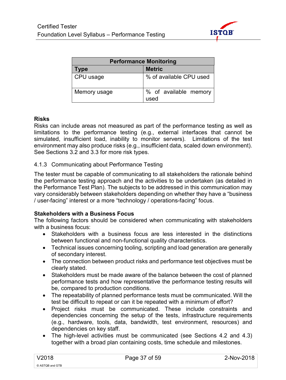

| <b>Performance Monitoring</b> |                               |  |  |  |
|-------------------------------|-------------------------------|--|--|--|
| Type                          | <b>Metric</b>                 |  |  |  |
| CPU usage                     | % of available CPU used       |  |  |  |
| Memory usage                  | % of available memory<br>used |  |  |  |

## **Risks**

Risks can include areas not measured as part of the performance testing as well as limitations to the performance testing (e.g., external interfaces that cannot be simulated, insufficient load, inability to monitor servers). Limitations of the test environment may also produce risks (e.g., insufficient data, scaled down environment). See Sections 3.2 and 3.3 for more risk types.

## 4.1.3 Communicating about Performance Testing

The tester must be capable of communicating to all stakeholders the rationale behind the performance testing approach and the activities to be undertaken (as detailed in the Performance Test Plan). The subjects to be addressed in this communication may vary considerably between stakeholders depending on whether they have a "business / user-facing" interest or a more "technology / operations-facing" focus.

## **Stakeholders with a Business Focus**

The following factors should be considered when communicating with stakeholders with a business focus:

- Stakeholders with a business focus are less interested in the distinctions between functional and non-functional quality characteristics.
- Technical issues concerning tooling, scripting and load generation are generally of secondary interest.
- The connection between product risks and performance test objectives must be clearly stated.
- Stakeholders must be made aware of the balance between the cost of planned performance tests and how representative the performance testing results will be, compared to production conditions.
- The repeatability of planned performance tests must be communicated. Will the test be difficult to repeat or can it be repeated with a minimum of effort?
- Project risks must be communicated. These include constraints and dependencies concerning the setup of the tests, infrastructure requirements (e.g., hardware, tools, data, bandwidth, test environment, resources) and dependencies on key staff.
- The high-level activities must be communicated (see Sections 4.2 and 4.3) together with a broad plan containing costs, time schedule and milestones.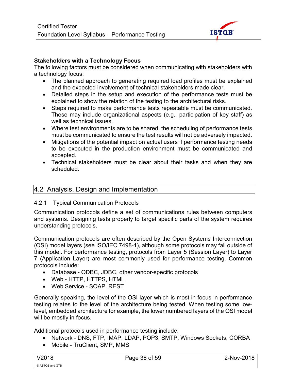

## **Stakeholders with a Technology Focus**

The following factors must be considered when communicating with stakeholders with a technology focus:

- The planned approach to generating required load profiles must be explained and the expected involvement of technical stakeholders made clear.
- Detailed steps in the setup and execution of the performance tests must be explained to show the relation of the testing to the architectural risks.
- Steps required to make performance tests repeatable must be communicated. These may include organizational aspects (e.g., participation of key staff) as well as technical issues.
- Where test environments are to be shared, the scheduling of performance tests must be communicated to ensure the test results will not be adversely impacted.
- Mitigations of the potential impact on actual users if performance testing needs to be executed in the production environment must be communicated and accepted.
- Technical stakeholders must be clear about their tasks and when they are scheduled.

## 4.2 Analysis, Design and Implementation

## 4.2.1 Typical Communication Protocols

Communication protocols define a set of communications rules between computers and systems. Designing tests properly to target specific parts of the system requires understanding protocols.

Communication protocols are often described by the Open Systems Interconnection (OSI) model layers (see ISO/IEC 7498-1), although some protocols may fall outside of this model. For performance testing, protocols from Layer 5 (Session Layer) to Layer 7 (Application Layer) are most commonly used for performance testing. Common protocols include:

- Database ODBC, JDBC, other vendor-specific protocols
- Web HTTP, HTTPS, HTML
- Web Service SOAP, REST

Generally speaking, the level of the OSI layer which is most in focus in performance testing relates to the level of the architecture being tested. When testing some lowlevel, embedded architecture for example, the lower numbered layers of the OSI model will be mostly in focus.

Additional protocols used in performance testing include:

- Network DNS, FTP, IMAP, LDAP, POP3, SMTP, Windows Sockets, CORBA
- Mobile TruClient, SMP, MMS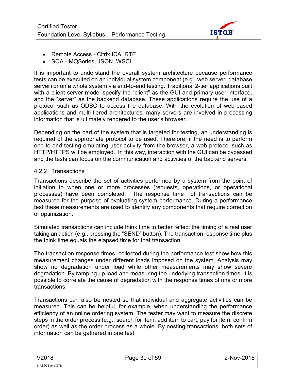

- Remote Access Citrix ICA, RTE
- SOA MQSeries, JSON, WSCL

It is important to understand the overall system architecture because performance tests can be executed on an individual system component (e.g., web server, database server) or on a whole system via end-to-end testing. Traditional 2-tier applications built with a client-server model specify the "client" as the GUI and primary user interface, and the "server" as the backend database. These applications require the use of a protocol such as ODBC to access the database. With the evolution of web-based applications and multi-tiered architectures, many servers are involved in processing information that is ultimately rendered to the user's browser.

Depending on the part of the system that is targeted for testing, an understanding is required of the appropriate protocol to be used. Therefore, if the need is to perform end-to-end testing emulating user activity from the browser, a web protocol such as HTTP/HTTPS will be employed. In this way, interaction with the GUI can be bypassed and the tests can focus on the communication and activities of the backend servers.

## 4.2.2 Transactions

Transactions describe the set of activities performed by a system from the point of initiation to when one or more processes (requests, operations, or operational processes) have been completed. The response time of transactions can be measured for the purpose of evaluating system performance. During a performance test these measurements are used to identify any components that require correction or optimization.

Simulated transactions can include think time to better reflect the timing of a real user taking an action (e.g., pressing the "SEND" button). The transaction response time plus the think time equals the elapsed time for that transaction.

The transaction response times collected during the performance test show how this measurement changes under different loads imposed on the system. Analysis may show no degradation under load while other measurements may show severe degradation. By ramping up load and measuring the underlying transaction times, it is possible to correlate the cause of degradation with the response times of one or more transactions.

Transactions can also be nested so that individual and aggregate activities can be measured. This can be helpful, for example, when understanding the performance efficiency of an online ordering system. The tester may want to measure the discrete steps in the order process (e.g., search for item, add item to cart, pay for item, confirm order) as well as the order process as a whole. By nesting transactions, both sets of information can be gathered in one test.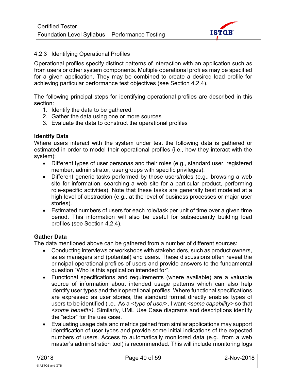

## 4.2.3 Identifying Operational Profiles

Operational profiles specify distinct patterns of interaction with an application such as from users or other system components. Multiple operational profiles may be specified for a given application. They may be combined to create a desired load profile for achieving particular performance test objectives (see Section 4.2.4).

The following principal steps for identifying operational profiles are described in this section:

- 1. Identify the data to be gathered
- 2. Gather the data using one or more sources
- 3. Evaluate the data to construct the operational profiles

## **Identify Data**

Where users interact with the system under test the following data is gathered or estimated in order to model their operational profiles (i.e., how they interact with the system):

- Different types of user personas and their roles (e.g., standard user, registered member, administrator, user groups with specific privileges).
- Different generic tasks performed by those users/roles (e.g., browsing a web site for information, searching a web site for a particular product, performing role-specific activities). Note that these tasks are generally best modeled at a high level of abstraction (e.g., at the level of business processes or major user stories).
- Estimated numbers of users for each role/task per unit of time over a given time period. This information will also be useful for subsequently building load profiles (see Section 4.2.4).

## **Gather Data**

The data mentioned above can be gathered from a number of different sources:

- Conducting interviews or workshops with stakeholders, such as product owners, sales managers and (potential) end users. These discussions often reveal the principal operational profiles of users and provide answers to the fundamental question "Who is this application intended for".
- Functional specifications and requirements (where available) are a valuable source of information about intended usage patterns which can also help identify user types and their operational profiles. Where functional specifications are expressed as user stories, the standard format directly enables types of users to be identified (i.e., As a *<type of user*>, I want *<some capability>* so that *<some benefit>).* Similarly, UML Use Case diagrams and descriptions identify the "actor" for the use case.
- Evaluating usage data and metrics gained from similar applications may support identification of user types and provide some initial indications of the expected numbers of users. Access to automatically monitored data (e.g., from a web master's administration tool) is recommended. This will include monitoring logs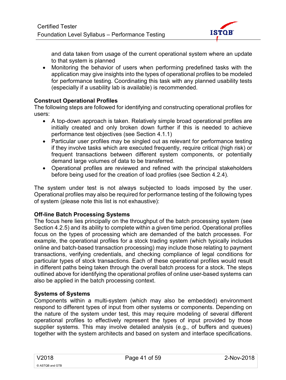

and data taken from usage of the current operational system where an update to that system is planned

 Monitoring the behavior of users when performing predefined tasks with the application may give insights into the types of operational profiles to be modeled for performance testing. Coordinating this task with any planned usability tests (especially if a usability lab is available) is recommended.

## **Construct Operational Profiles**

The following steps are followed for identifying and constructing operational profiles for users:

- A top-down approach is taken. Relatively simple broad operational profiles are initially created and only broken down further if this is needed to achieve performance test objectives (see Section 4.1.1)
- Particular user profiles may be singled out as relevant for performance testing if they involve tasks which are executed frequently, require critical (high risk) or frequent transactions between different system components, or potentially demand large volumes of data to be transferred.
- Operational profiles are reviewed and refined with the principal stakeholders before being used for the creation of load profiles (see Section 4.2.4).

The system under test is not always subjected to loads imposed by the user. Operational profiles may also be required for performance testing of the following types of system (please note this list is not exhaustive):

## **Off-line Batch Processing Systems**

The focus here lies principally on the throughput of the batch processing system (see Section 4.2.5) and its ability to complete within a given time period. Operational profiles focus on the types of processing which are demanded of the batch processes. For example, the operational profiles for a stock trading system (which typically includes online and batch-based transaction processing) may include those relating to payment transactions, verifying credentials, and checking compliance of legal conditions for particular types of stock transactions. Each of these operational profiles would result in different paths being taken through the overall batch process for a stock. The steps outlined above for identifying the operational profiles of online user-based systems can also be applied in the batch processing context.

## **Systems of Systems**

Components within a multi-system (which may also be embedded) environment respond to different types of input from other systems or components. Depending on the nature of the system under test, this may require modeling of several different operational profiles to effectively represent the types of input provided by those supplier systems. This may involve detailed analysis (e.g., of buffers and queues) together with the system architects and based on system and interface specifications.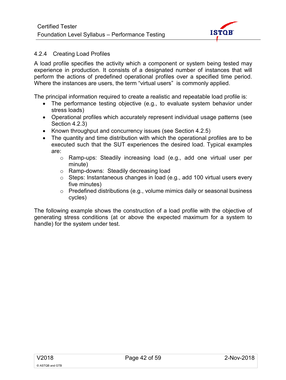

## 4.2.4 Creating Load Profiles

A load profile specifies the activity which a component or system being tested may experience in production. It consists of a designated number of instances that will perform the actions of predefined operational profiles over a specified time period. Where the instances are users, the term "virtual users" is commonly applied.

The principal information required to create a realistic and repeatable load profile is:

- The performance testing objective (e.g., to evaluate system behavior under stress loads)
- Operational profiles which accurately represent individual usage patterns (see Section 4.2.3)
- Known throughput and concurrency issues (see Section 4.2.5)
- The quantity and time distribution with which the operational profiles are to be executed such that the SUT experiences the desired load. Typical examples are:
	- o Ramp-ups: Steadily increasing load (e.g., add one virtual user per minute)
	- o Ramp-downs: Steadily decreasing load
	- $\circ$  Steps: Instantaneous changes in load (e.g., add 100 virtual users every five minutes)
	- o Predefined distributions (e.g., volume mimics daily or seasonal business cycles)

The following example shows the construction of a load profile with the objective of generating stress conditions (at or above the expected maximum for a system to handle) for the system under test.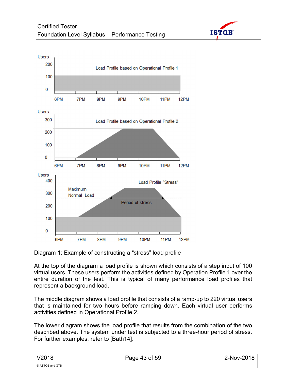**ISTOB** 



Diagram 1: Example of constructing a "stress" load profile

At the top of the diagram a load profile is shown which consists of a step input of 100 virtual users. These users perform the activities defined by Operation Profile 1 over the entire duration of the test. This is typical of many performance load profiles that represent a background load.

The middle diagram shows a load profile that consists of a ramp-up to 220 virtual users that is maintained for two hours before ramping down. Each virtual user performs activities defined in Operational Profile 2.

The lower diagram shows the load profile that results from the combination of the two described above. The system under test is subjected to a three-hour period of stress. For further examples, refer to [Bath14].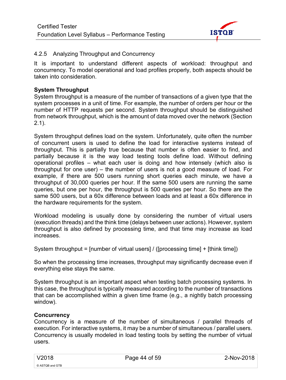

## 4.2.5 Analyzing Throughput and Concurrency

It is important to understand different aspects of workload: throughput and concurrency. To model operational and load profiles properly, both aspects should be taken into consideration.

## **System Throughput**

System throughput is a measure of the number of transactions of a given type that the system processes in a unit of time. For example, the number of orders per hour or the number of HTTP requests per second. System throughput should be distinguished from network throughput, which is the amount of data moved over the network (Section 2.1).

System throughput defines load on the system. Unfortunately, quite often the number of concurrent users is used to define the load for interactive systems instead of throughput. This is partially true because that number is often easier to find, and partially because it is the way load testing tools define load. Without defining operational profiles – what each user is doing and how intensely (which also is throughput for one user) – the number of users is not a good measure of load. For example, if there are 500 users running short queries each minute, we have a throughput of 30,000 queries per hour. If the same 500 users are running the same queries, but one per hour, the throughput is 500 queries per hour. So there are the same 500 users, but a 60x difference between loads and at least a 60x difference in the hardware requirements for the system.

Workload modeling is usually done by considering the number of virtual users (execution threads) and the think time (delays between user actions). However, system throughput is also defined by processing time, and that time may increase as load increases.

System throughput = [number of virtual users] / ([processing time] + [think time])

So when the processing time increases, throughput may significantly decrease even if everything else stays the same.

System throughput is an important aspect when testing batch processing systems. In this case, the throughput is typically measured according to the number of transactions that can be accomplished within a given time frame (e.g., a nightly batch processing window).

## **Concurrency**

Concurrency is a measure of the number of simultaneous / parallel threads of execution. For interactive systems, it may be a number of simultaneous / parallel users. Concurrency is usually modeled in load testing tools by setting the number of virtual users.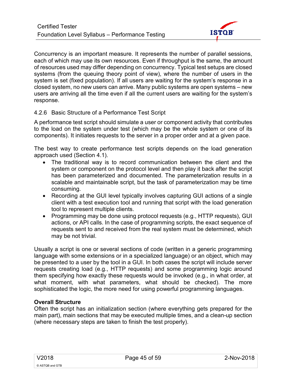

Concurrency is an important measure. It represents the number of parallel sessions, each of which may use its own resources. Even if throughput is the same, the amount of resources used may differ depending on concurrency. Typical test setups are closed systems (from the queuing theory point of view), where the number of users in the system is set (fixed population). If all users are waiting for the system's response in a closed system, no new users can arrive. Many public systems are open systems – new users are arriving all the time even if all the current users are waiting for the system's response.

## 4.2.6 Basic Structure of a Performance Test Script

A performance test script should simulate a user or component activity that contributes to the load on the system under test (which may be the whole system or one of its components). It initiates requests to the server in a proper order and at a given pace.

The best way to create performance test scripts depends on the load generation approach used (Section 4.1).

- The traditional way is to record communication between the client and the system or component on the protocol level and then play it back after the script has been parameterized and documented. The parameterization results in a scalable and maintainable script, but the task of parameterization may be time consuming.
- Recording at the GUI level typically involves capturing GUI actions of a single client with a test execution tool and running that script with the load generation tool to represent multiple clients.
- Programming may be done using protocol requests (e.g., HTTP requests), GUI actions, or API calls. In the case of programming scripts, the exact sequence of requests sent to and received from the real system must be determined, which may be not trivial.

Usually a script is one or several sections of code (written in a generic programming language with some extensions or in a specialized language) or an object, which may be presented to a user by the tool in a GUI. In both cases the script will include server requests creating load (e.g., HTTP requests) and some programming logic around them specifying how exactly these requests would be invoked (e.g., in what order, at what moment, with what parameters, what should be checked). The more sophisticated the logic, the more need for using powerful programming languages.

## **Overall Structure**

Often the script has an initialization section (where everything gets prepared for the main part), main sections that may be executed multiple times, and a clean-up section (where necessary steps are taken to finish the test properly).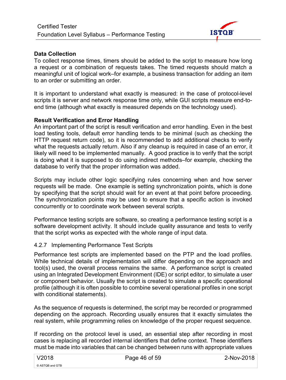

## **Data Collection**

To collect response times, timers should be added to the script to measure how long a request or a combination of requests takes. The timed requests should match a meaningful unit of logical work–for example, a business transaction for adding an item to an order or submitting an order.

It is important to understand what exactly is measured: in the case of protocol-level scripts it is server and network response time only, while GUI scripts measure end-toend time (although what exactly is measured depends on the technology used).

## **Result Verification and Error Handling**

An important part of the script is result verification and error handling. Even in the best load testing tools, default error handling tends to be minimal (such as checking the HTTP request return code), so it is recommended to add additional checks to verify what the requests actually return. Also if any cleanup is required in case of an error, it likely will need to be implemented manually. A good practice is to verify that the script is doing what it is supposed to do using indirect methods–for example, checking the database to verify that the proper information was added.

Scripts may include other logic specifying rules concerning when and how server requests will be made. One example is setting synchronization points, which is done by specifying that the script should wait for an event at that point before proceeding. The synchronization points may be used to ensure that a specific action is invoked concurrently or to coordinate work between several scripts.

Performance testing scripts are software, so creating a performance testing script is a software development activity. It should include quality assurance and tests to verify that the script works as expected with the whole range of input data.

## 4.2.7 Implementing Performance Test Scripts

Performance test scripts are implemented based on the PTP and the load profiles. While technical details of implementation will differ depending on the approach and tool(s) used, the overall process remains the same. A performance script is created using an Integrated Development Environment (IDE) or script editor, to simulate a user or component behavior. Usually the script is created to simulate a specific operational profile (although it is often possible to combine several operational profiles in one script with conditional statements).

As the sequence of requests is determined, the script may be recorded or programmed depending on the approach. Recording usually ensures that it exactly simulates the real system, while programming relies on knowledge of the proper request sequence.

If recording on the protocol level is used, an essential step after recording in most cases is replacing all recorded internal identifiers that define context. These identifiers must be made into variables that can be changed between runs with appropriate values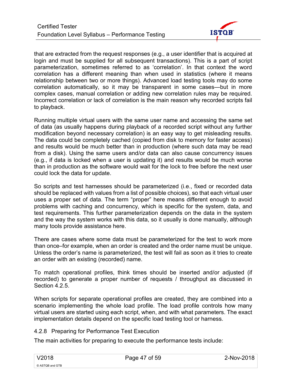

that are extracted from the request responses (e.g., a user identifier that is acquired at login and must be supplied for all subsequent transactions). This is a part of script parameterization, sometimes referred to as 'correlation'. In that context the word correlation has a different meaning than when used in statistics (where it means relationship between two or more things). Advanced load testing tools may do some correlation automatically, so it may be transparent in some cases—but in more complex cases, manual correlation or adding new correlation rules may be required. Incorrect correlation or lack of correlation is the main reason why recorded scripts fail to playback.

Running multiple virtual users with the same user name and accessing the same set of data (as usually happens during playback of a recorded script without any further modification beyond necessary correlation) is an easy way to get misleading results. The data could be completely cached (copied from disk to memory for faster access) and results would be much better than in production (where such data may be read from a disk). Using the same users and/or data can also cause concurrency issues (e.g., if data is locked when a user is updating it) and results would be much worse than in production as the software would wait for the lock to free before the next user could lock the data for update.

So scripts and test harnesses should be parameterized (i.e., fixed or recorded data should be replaced with values from a list of possible choices), so that each virtual user uses a proper set of data. The term "proper" here means different enough to avoid problems with caching and concurrency, which is specific for the system, data, and test requirements. This further parameterization depends on the data in the system and the way the system works with this data, so it usually is done manually, although many tools provide assistance here.

There are cases where some data must be parameterized for the test to work more than once–for example, when an order is created and the order name must be unique. Unless the order's name is parameterized, the test will fail as soon as it tries to create an order with an existing (recorded) name.

To match operational profiles, think times should be inserted and/or adjusted (if recorded) to generate a proper number of requests / throughput as discussed in Section 4.2.5.

When scripts for separate operational profiles are created, they are combined into a scenario implementing the whole load profile. The load profile controls how many virtual users are started using each script, when, and with what parameters. The exact implementation details depend on the specific load testing tool or harness.

4.2.8 Preparing for Performance Test Execution

The main activities for preparing to execute the performance tests include: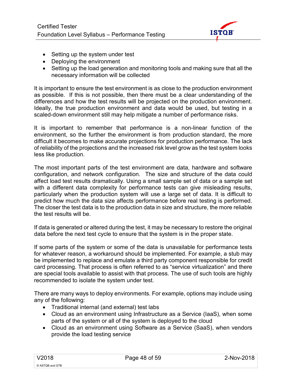

- Setting up the system under test
- Deploying the environment
- Setting up the load generation and monitoring tools and making sure that all the necessary information will be collected

It is important to ensure the test environment is as close to the production environment as possible. If this is not possible, then there must be a clear understanding of the differences and how the test results will be projected on the production environment. Ideally, the true production environment and data would be used, but testing in a scaled-down environment still may help mitigate a number of performance risks.

It is important to remember that performance is a non-linear function of the environment, so the further the environment is from production standard, the more difficult it becomes to make accurate projections for production performance. The lack of reliability of the projections and the increased risk level grow as the test system looks less like production.

The most important parts of the test environment are data, hardware and software configuration, and network configuration. The size and structure of the data could affect load test results dramatically. Using a small sample set of data or a sample set with a different data complexity for performance tests can give misleading results, particularly when the production system will use a large set of data. It is difficult to predict how much the data size affects performance before real testing is performed. The closer the test data is to the production data in size and structure, the more reliable the test results will be.

If data is generated or altered during the test, it may be necessary to restore the original data before the next test cycle to ensure that the system is in the proper state.

If some parts of the system or some of the data is unavailable for performance tests for whatever reason, a workaround should be implemented. For example, a stub may be implemented to replace and emulate a third party component responsible for credit card processing. That process is often referred to as "service virtualization" and there are special tools available to assist with that process. The use of such tools are highly recommended to isolate the system under test.

There are many ways to deploy environments. For example, options may include using any of the following:

- Traditional internal (and external) test labs
- Cloud as an environment using Infrastructure as a Service (IaaS), when some parts of the system or all of the system is deployed to the cloud
- Cloud as an environment using Software as a Service (SaaS), when vendors provide the load testing service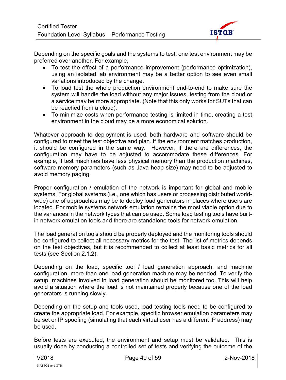

Depending on the specific goals and the systems to test, one test environment may be preferred over another. For example,

- To test the effect of a performance improvement (performance optimization), using an isolated lab environment may be a better option to see even small variations introduced by the change.
- To load test the whole production environment end-to-end to make sure the system will handle the load without any major issues, testing from the cloud or a service may be more appropriate. (Note that this only works for SUTs that can be reached from a cloud).
- To minimize costs when performance testing is limited in time, creating a test environment in the cloud may be a more economical solution.

Whatever approach to deployment is used, both hardware and software should be configured to meet the test objective and plan. If the environment matches production, it should be configured in the same way. However, if there are differences, the configuration may have to be adjusted to accommodate these differences. For example, if test machines have less physical memory than the production machines, software memory parameters (such as Java heap size) may need to be adjusted to avoid memory paging.

Proper configuration / emulation of the network is important for global and mobile systems. For global systems (i.e., one which has users or processing distributed worldwide) one of approaches may be to deploy load generators in places where users are located. For mobile systems network emulation remains the most viable option due to the variances in the network types that can be used. Some load testing tools have builtin network emulation tools and there are standalone tools for network emulation.

The load generation tools should be properly deployed and the monitoring tools should be configured to collect all necessary metrics for the test. The list of metrics depends on the test objectives, but it is recommended to collect at least basic metrics for all tests (see Section 2.1.2).

Depending on the load, specific tool / load generation approach, and machine configuration, more than one load generation machine may be needed. To verify the setup, machines involved in load generation should be monitored too. This will help avoid a situation where the load is not maintained properly because one of the load generators is running slowly.

Depending on the setup and tools used, load testing tools need to be configured to create the appropriate load. For example, specific browser emulation parameters may be set or IP spoofing (simulating that each virtual user has a different IP address) may be used.

Before tests are executed, the environment and setup must be validated. This is usually done by conducting a controlled set of tests and verifying the outcome of the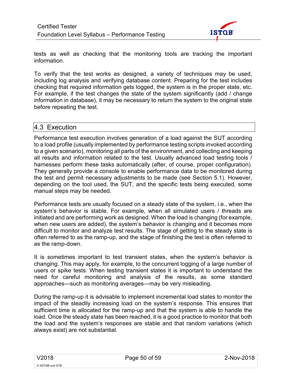

tests as well as checking that the monitoring tools are tracking the important information.

To verify that the test works as designed, a variety of techniques may be used, including log analysis and verifying database content. Preparing for the test includes checking that required information gets logged, the system is in the proper state, etc. For example, if the test changes the state of the system significantly (add / change information in database), it may be necessary to return the system to the original state before repeating the test.

## 4.3 Execution

Performance test execution involves generation of a load against the SUT according to a load profile (usually implemented by performance testing scripts invoked according to a given scenario), monitoring all parts of the environment, and collecting and keeping all results and information related to the test. Usually advanced load testing tools / harnesses perform these tasks automatically (after, of course, proper configuration). They generally provide a console to enable performance data to be monitored during the test and permit necessary adjustments to be made (see Section 5.1). However, depending on the tool used, the SUT, and the specific tests being executed, some manual steps may be needed.

Performance tests are usually focused on a steady state of the system, i.e., when the system's behavior is stable. For example, when all simulated users / threads are initiated and are performing work as designed. When the load is changing (for example, when new users are added), the system's behavior is changing and it becomes more difficult to monitor and analyze test results. The stage of getting to the steady state is often referred to as the ramp-up, and the stage of finishing the test is often referred to as the ramp-down.

It is sometimes important to test transient states, when the system's behavior is changing. This may apply, for example, to the concurrent logging of a large number of users or spike tests. When testing transient states it is important to understand the need for careful monitoring and analysis of the results, as some standard approaches—such as monitoring averages—may be very misleading.

During the ramp-up it is advisable to implement incremental load states to monitor the impact of the steadily increasing load on the system's response. This ensures that sufficient time is allocated for the ramp-up and that the system is able to handle the load. Once the steady state has been reached, it is a good practice to monitor that both the load and the system's responses are stable and that random variations (which always exist) are not substantial.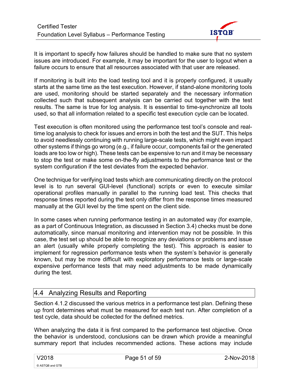

It is important to specify how failures should be handled to make sure that no system issues are introduced. For example, it may be important for the user to logout when a failure occurs to ensure that all resources associated with that user are released.

If monitoring is built into the load testing tool and it is properly configured, it usually starts at the same time as the test execution. However, if stand-alone monitoring tools are used, monitoring should be started separately and the necessary information collected such that subsequent analysis can be carried out together with the test results. The same is true for log analysis. It is essential to time-synchronize all tools used, so that all information related to a specific test execution cycle can be located.

Test execution is often monitored using the performance test tool's console and realtime log analysis to check for issues and errors in both the test and the SUT. This helps to avoid needlessly continuing with running large-scale tests, which might even impact other systems if things go wrong (e.g., if failure occur, components fail or the generated loads are too low or high). These tests can be expensive to run and it may be necessary to stop the test or make some on-the-fly adjustments to the performance test or the system configuration if the test deviates from the expected behavior.

One technique for verifying load tests which are communicating directly on the protocol level is to run several GUI-level (functional) scripts or even to execute similar operational profiles manually in parallel to the running load test. This checks that response times reported during the test only differ from the response times measured manually at the GUI level by the time spent on the client side.

In some cases when running performance testing in an automated way (for example, as a part of Continuous Integration, as discussed in Section 3.4) checks must be done automatically, since manual monitoring and intervention may not be possible. In this case, the test set up should be able to recognize any deviations or problems and issue an alert (usually while properly completing the test). This approach is easier to implement for regression performance tests when the system's behavior is generally known, but may be more difficult with exploratory performance tests or large-scale expensive performance tests that may need adjustments to be made dynamically during the test.

## 4.4 Analyzing Results and Reporting

Section 4.1.2 discussed the various metrics in a performance test plan. Defining these up front determines what must be measured for each test run. After completion of a test cycle, data should be collected for the defined metrics.

When analyzing the data it is first compared to the performance test objective. Once the behavior is understood, conclusions can be drawn which provide a meaningful summary report that includes recommended actions. These actions may include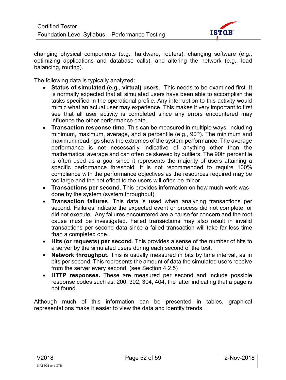

changing physical components (e.g., hardware, routers), changing software (e.g., optimizing applications and database calls), and altering the network (e.g., load balancing, routing).

The following data is typically analyzed:

- **Status of simulated (e.g., virtual) users**. This needs to be examined first. It is normally expected that all simulated users have been able to accomplish the tasks specified in the operational profile. Any interruption to this activity would mimic what an actual user may experience. This makes it very important to first see that all user activity is completed since any errors encountered may influence the other performance data.
- **Transaction response time**. This can be measured in multiple ways, including minimum, maximum, average, and a percentile (e.g., 90<sup>th</sup>). The minimum and maximum readings show the extremes of the system performance. The average performance is not necessarily indicative of anything other than the mathematical average and can often be skewed by outliers. The 90th percentile is often used as a goal since it represents the majority of users attaining a specific performance threshold. It is not recommended to require 100% compliance with the performance objectives as the resources required may be too large and the net effect to the users will often be minor.
- **Transactions per second**. This provides information on how much work was done by the system (system throughput).
- **Transaction failures**. This data is used when analyzing transactions per second. Failures indicate the expected event or process did not complete, or did not execute. Any failures encountered are a cause for concern and the root cause must be investigated. Failed transactions may also result in invalid transactions per second data since a failed transaction will take far less time than a completed one.
- **Hits (or requests) per second**. This provides a sense of the number of hits to a server by the simulated users during each second of the test.
- **Network throughput.** This is usually measured in bits by time interval, as in bits per second. This represents the amount of data the simulated users receive from the server every second. (see Section 4.2.5)
- **HTTP responses.** These are measured per second and include possible response codes such as: 200, 302, 304, 404, the latter indicating that a page is not found.

Although much of this information can be presented in tables, graphical representations make it easier to view the data and identify trends.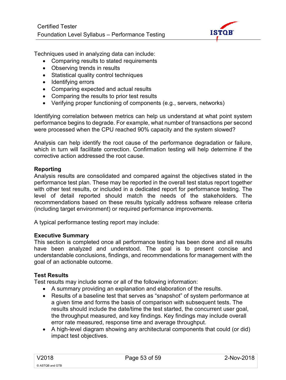

Techniques used in analyzing data can include:

- Comparing results to stated requirements
- Observing trends in results
- Statistical quality control techniques
- Identifying errors
- Comparing expected and actual results
- Comparing the results to prior test results
- Verifying proper functioning of components (e.g., servers, networks)

Identifying correlation between metrics can help us understand at what point system performance begins to degrade. For example, what number of transactions per second were processed when the CPU reached 90% capacity and the system slowed?

Analysis can help identify the root cause of the performance degradation or failure, which in turn will facilitate correction. Confirmation testing will help determine if the corrective action addressed the root cause.

## **Reporting**

Analysis results are consolidated and compared against the objectives stated in the performance test plan. These may be reported in the overall test status report together with other test results, or included in a dedicated report for performance testing. The level of detail reported should match the needs of the stakeholders. The recommendations based on these results typically address software release criteria (including target environment) or required performance improvements.

A typical performance testing report may include:

## **Executive Summary**

This section is completed once all performance testing has been done and all results have been analyzed and understood. The goal is to present concise and understandable conclusions, findings, and recommendations for management with the goal of an actionable outcome.

## **Test Results**

Test results may include some or all of the following information:

- A summary providing an explanation and elaboration of the results.
- Results of a baseline test that serves as "snapshot" of system performance at a given time and forms the basis of comparison with subsequent tests. The results should include the date/time the test started, the concurrent user goal, the throughput measured, and key findings. Key findings may include overall error rate measured, response time and average throughput.
- A high-level diagram showing any architectural components that could (or did) impact test objectives.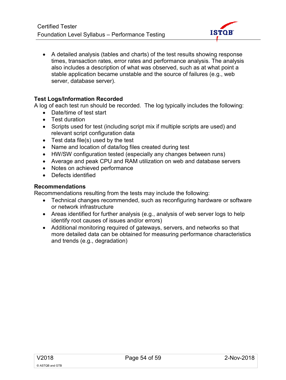

 A detailed analysis (tables and charts) of the test results showing response times, transaction rates, error rates and performance analysis. The analysis also includes a description of what was observed, such as at what point a stable application became unstable and the source of failures (e.g., web server, database server).

## **Test Logs/Information Recorded**

A log of each test run should be recorded. The log typically includes the following:

- Date/time of test start
- Test duration
- Scripts used for test (including script mix if multiple scripts are used) and relevant script configuration data
- Test data file(s) used by the test
- Name and location of data/log files created during test
- HW/SW configuration tested (especially any changes between runs)
- Average and peak CPU and RAM utilization on web and database servers
- Notes on achieved performance
- Defects identified

## **Recommendations**

Recommendations resulting from the tests may include the following:

- Technical changes recommended, such as reconfiguring hardware or software or network infrastructure
- Areas identified for further analysis (e.g., analysis of web server logs to help identify root causes of issues and/or errors)
- Additional monitoring required of gateways, servers, and networks so that more detailed data can be obtained for measuring performance characteristics and trends (e.g., degradation)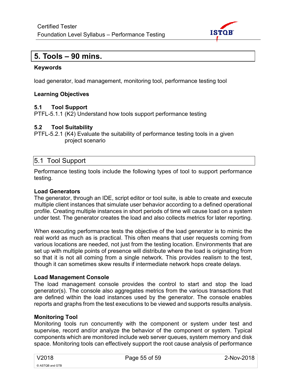

## **5. Tools – 90 mins.**

## **Keywords**

load generator, load management, monitoring tool, performance testing tool

## **Learning Objectives**

## **5.1 Tool Support**

PTFL-5.1.1 (K2) Understand how tools support performance testing

#### **5.2 Tool Suitability**

PTFL-5.2.1 (K4) Evaluate the suitability of performance testing tools in a given project scenario

## 5.1 Tool Support

Performance testing tools include the following types of tool to support performance testing.

#### **Load Generators**

The generator, through an IDE, script editor or tool suite, is able to create and execute multiple client instances that simulate user behavior according to a defined operational profile. Creating multiple instances in short periods of time will cause load on a system under test. The generator creates the load and also collects metrics for later reporting.

When executing performance tests the objective of the load generator is to mimic the real world as much as is practical. This often means that user requests coming from various locations are needed, not just from the testing location. Environments that are set up with multiple points of presence will distribute where the load is originating from so that it is not all coming from a single network. This provides realism to the test, though it can sometimes skew results if intermediate network hops create delays.

## **Load Management Console**

The load management console provides the control to start and stop the load generator(s). The console also aggregates metrics from the various transactions that are defined within the load instances used by the generator. The console enables reports and graphs from the test executions to be viewed and supports results analysis.

## **Monitoring Tool**

Monitoring tools run concurrently with the component or system under test and supervise, record and/or analyze the behavior of the component or system. Typical components which are monitored include web server queues, system memory and disk space. Monitoring tools can effectively support the root cause analysis of performance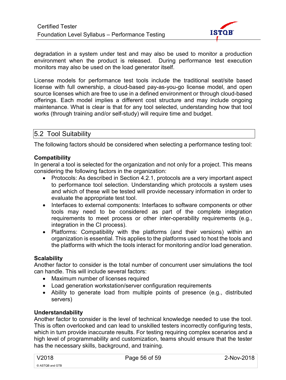

degradation in a system under test and may also be used to monitor a production environment when the product is released. During performance test execution monitors may also be used on the load generator itself.

License models for performance test tools include the traditional seat/site based license with full ownership, a cloud-based pay-as-you-go license model, and open source licenses which are free to use in a defined environment or through cloud-based offerings. Each model implies a different cost structure and may include ongoing maintenance. What is clear is that for any tool selected, understanding how that tool works (through training and/or self-study) will require time and budget.

## 5.2 Tool Suitability

The following factors should be considered when selecting a performance testing tool:

## **Compatibility**

In general a tool is selected for the organization and not only for a project. This means considering the following factors in the organization:

- Protocols: As described in Section 4.2.1, protocols are a very important aspect to performance tool selection. Understanding which protocols a system uses and which of these will be tested will provide necessary information in order to evaluate the appropriate test tool.
- Interfaces to external components: Interfaces to software components or other tools may need to be considered as part of the complete integration requirements to meet process or other inter-operability requirements (e.g., integration in the CI process).
- Platforms: Compatibility with the platforms (and their versions) within an organization is essential. This applies to the platforms used to host the tools and the platforms with which the tools interact for monitoring and/or load generation.

## **Scalability**

Another factor to consider is the total number of concurrent user simulations the tool can handle. This will include several factors:

- Maximum number of licenses required
- Load generation workstation/server configuration requirements
- Ability to generate load from multiple points of presence (e.g., distributed servers)

## **Understandability**

Another factor to consider is the level of technical knowledge needed to use the tool. This is often overlooked and can lead to unskilled testers incorrectly configuring tests, which in turn provide inaccurate results. For testing requiring complex scenarios and a high level of programmability and customization, teams should ensure that the tester has the necessary skills, background, and training.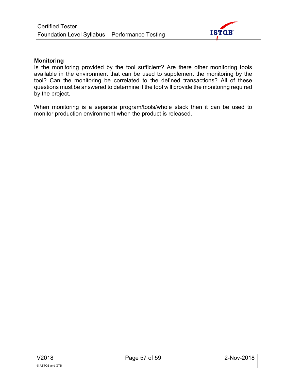

## **Monitoring**

Is the monitoring provided by the tool sufficient? Are there other monitoring tools available in the environment that can be used to supplement the monitoring by the tool? Can the monitoring be correlated to the defined transactions? All of these questions must be answered to determine if the tool will provide the monitoring required by the project.

When monitoring is a separate program/tools/whole stack then it can be used to monitor production environment when the product is released.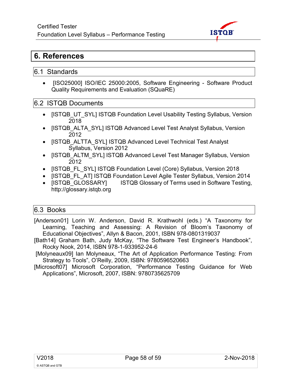

# **6. References**

## 6.1 Standards

• [ISO25000] ISO/IEC 25000:2005, Software Engineering - Software Product Quality Requirements and Evaluation (SQuaRE)

## 6.2 ISTQB Documents

- [ISTQB\_UT\_SYL] ISTQB Foundation Level Usability Testing Syllabus, Version 2018
- [ISTQB\_ALTA\_SYL] ISTQB Advanced Level Test Analyst Syllabus, Version 2012
- [ISTQB\_ALTTA\_SYL] ISTQB Advanced Level Technical Test Analyst Syllabus, Version 2012
- [ISTQB\_ALTM\_SYL] ISTQB Advanced Level Test Manager Syllabus, Version 2012
- [ISTQB\_FL\_SYL] ISTQB Foundation Level (Core) Syllabus, Version 2018
- [ISTQB\_FL\_AT] ISTQB Foundation Level Agile Tester Syllabus, Version 2014
- [ISTQB GLOSSARY] ISTQB Glossary of Terms used in Software Testing, http://glossary.istqb.org

## 6.3 Books

[Anderson01] Lorin W. Anderson, David R. Krathwohl (eds.) "A Taxonomy for Learning, Teaching and Assessing: A Revision of Bloom's Taxonomy of Educational Objectives", Allyn & Bacon, 2001, ISBN 978-0801319037

[Bath14] Graham Bath, Judy McKay, "The Software Test Engineer's Handbook", Rocky Nook, 2014, ISBN 978-1-933952-24-6

 [Molyneaux09] Ian Molyneaux, "The Art of Application Performance Testing: From Strategy to Tools", O'Reilly, 2009, ISBN: 9780596520663

[Microsoft07] Microsoft Corporation, "Performance Testing Guidance for Web Applications", Microsoft, 2007, ISBN: 9780735625709